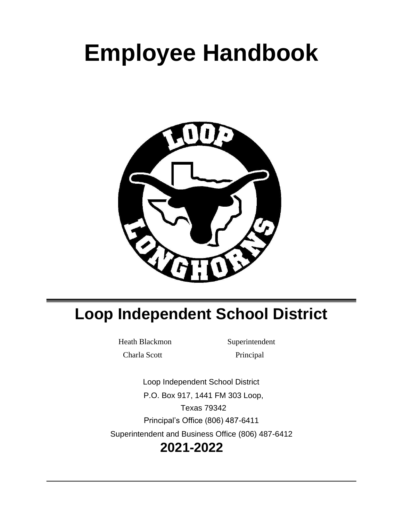# **Employee Handbook**



# **Loop Independent School District**

Heath Blackmon<br>
Superintendent Charla Scott Principal

Loop Independent School District P.O. Box 917, 1441 FM 303 Loop, Texas 79342 Principal's Office (806) 487-6411 Superintendent and Business Office (806) 487-6412

# **2021-2022**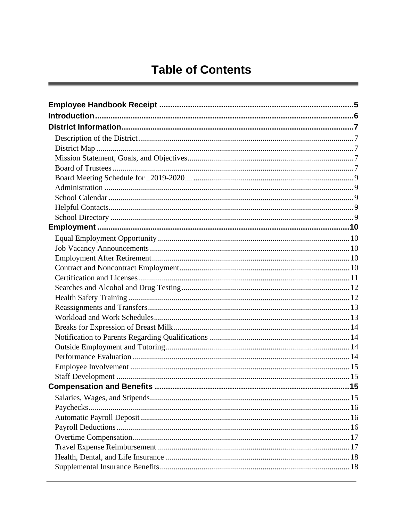# **Table of Contents**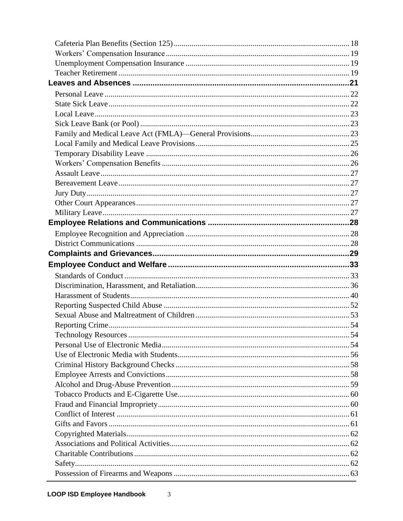$\mathfrak{Z}$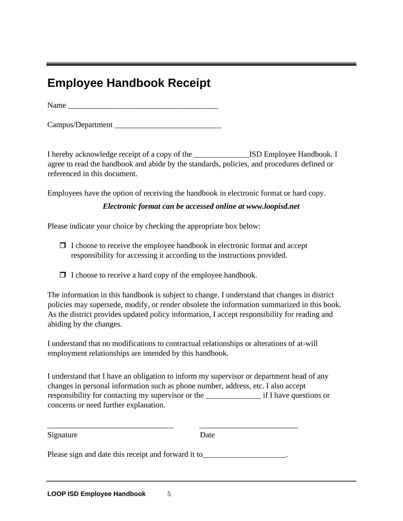# <span id="page-4-0"></span>**Employee Handbook Receipt**

Name

Campus/Department

I hereby acknowledge receipt of a copy of the \_\_\_\_\_\_\_\_\_\_\_\_\_\_ISD Employee Handbook. I agree to read the handbook and abide by the standards, policies, and procedures defined or referenced in this document.

Employees have the option of receiving the handbook in electronic format or hard copy.

#### *Electronic format can be accessed online at www.loopisd.net*

Please indicate your choice by checking the appropriate box below:

- $\Box$  I choose to receive the employee handbook in electronic format and accept responsibility for accessing it according to the instructions provided.
- $\Box$  I choose to receive a hard copy of the employee handbook.

The information in this handbook is subject to change. I understand that changes in district policies may supersede, modify, or render obsolete the information summarized in this book. As the district provides updated policy information, I accept responsibility for reading and abiding by the changes.

I understand that no modifications to contractual relationships or alterations of at-will employment relationships are intended by this handbook.

I understand that I have an obligation to inform my supervisor or department head of any changes in personal information such as phone number, address, etc. I also accept responsibility for contacting my supervisor or the \_\_\_\_\_\_\_\_\_\_\_\_\_\_ if I have questions or concerns or need further explanation.

Please sign and date this receipt and forward it to  $\blacksquare$ 

\_\_\_\_\_\_\_\_\_\_\_\_\_\_\_\_\_\_\_\_\_\_\_\_\_\_\_\_\_\_\_\_ \_\_\_\_\_\_\_\_\_\_\_\_\_\_\_\_\_\_\_\_\_\_\_\_\_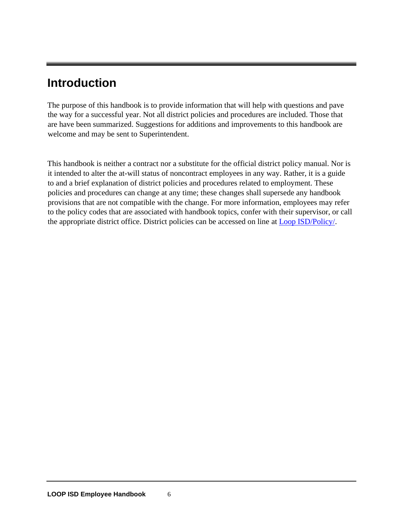# <span id="page-5-0"></span>**Introduction**

The purpose of this handbook is to provide information that will help with questions and pave the way for a successful year. Not all district policies and procedures are included. Those that are have been summarized. Suggestions for additions and improvements to this handbook are welcome and may be sent to Superintendent.

This handbook is neither a contract nor a substitute for the official district policy manual. Nor is it intended to alter the at-will status of noncontract employees in any way. Rather, it is a guide to and a brief explanation of district policies and procedures related to employment. These policies and procedures can change at any time; these changes shall supersede any handbook provisions that are not compatible with the change. For more information, employees may refer to the policy codes that are associated with handbook topics, confer with their supervisor, or call the appropriate district office. District policies can be accessed on line at [Loop ISD/Policy/.](http://pol.tasb.org/Policy/Code/494?filter=DH)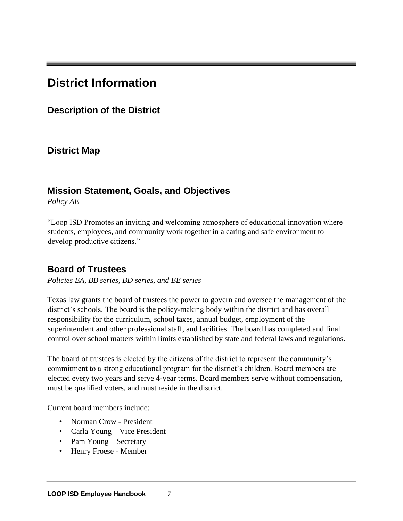# <span id="page-6-0"></span>**District Information**

<span id="page-6-1"></span>**Description of the District** 

#### <span id="page-6-2"></span>**District Map**

#### <span id="page-6-3"></span>**Mission Statement, Goals, and Objectives**

*Policy AE* 

"Loop ISD Promotes an inviting and welcoming atmosphere of educational innovation where students, employees, and community work together in a caring and safe environment to develop productive citizens."

#### <span id="page-6-4"></span>**Board of Trustees**

*Policies BA, BB series, BD series, and BE series* 

Texas law grants the board of trustees the power to govern and oversee the management of the district's schools. The board is the policy-making body within the district and has overall responsibility for the curriculum, school taxes, annual budget, employment of the superintendent and other professional staff, and facilities. The board has completed and final control over school matters within limits established by state and federal laws and regulations.

The board of trustees is elected by the citizens of the district to represent the community's commitment to a strong educational program for the district's children. Board members are elected every two years and serve 4-year terms. Board members serve without compensation, must be qualified voters, and must reside in the district.

Current board members include:

- Norman Crow President
- Carla Young Vice President
- Pam Young Secretary
- Henry Froese Member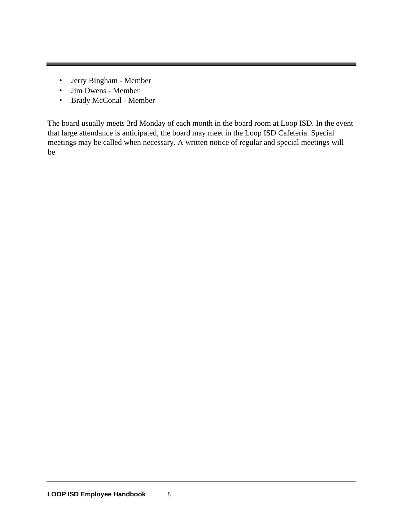- Jerry Bingham Member
- Jim Owens Member
- Brady McConal Member

The board usually meets 3rd Monday of each month in the board room at Loop ISD. In the event that large attendance is anticipated, the board may meet in the Loop ISD Cafeteria. Special meetings may be called when necessary. A written notice of regular and special meetings will be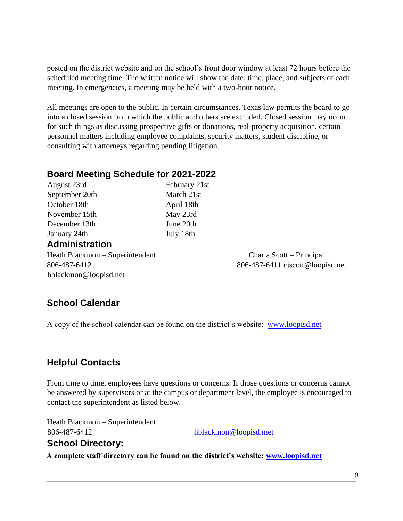posted on the district website and on the school's front door window at least 72 hours before the scheduled meeting time. The written notice will show the date, time, place, and subjects of each meeting. In emergencies, a meeting may be held with a two-hour notice.

All meetings are open to the public. In certain circumstances, Texas law permits the board to go into a closed session from which the public and others are excluded. Closed session may occur for such things as discussing prospective gifts or donations, real-property acquisition, certain personnel matters including employee complaints, security matters, student discipline, or consulting with attorneys regarding pending litigation.

#### <span id="page-8-0"></span>**Board Meeting Schedule for 2021-2022**

August 23rd February 21st September 20th March 21st October 18th April 18th November 15th May 23rd December 13th June 20th January 24th July 18th

#### <span id="page-8-1"></span>**Administration**

Heath Blackmon – Superintendent Charla Scott – Principal 806-487-6412 806-487-6411 cjscott@loopisd.net hblackmon@loopisd.net

### <span id="page-8-2"></span>**School Calendar**

A copy of the school calendar can be found on the district's website: [www.loopisd.net](http://www.loopisd.net/) 

#### <span id="page-8-3"></span>**Helpful Contacts**

From time to time, employees have questions or concerns. If those questions or concerns cannot be answered by supervisors or at the campus or department level, the employee is encouraged to contact the superintendent as listed below.

Heath Blackmon – Superintendent 806-487-6412 hblackmon@loopisd.met

#### <span id="page-8-4"></span>**School Directory:**

**A complete staff directory can be found on the district's website: [www.loopisd.net](http://www.loopisd.net/)**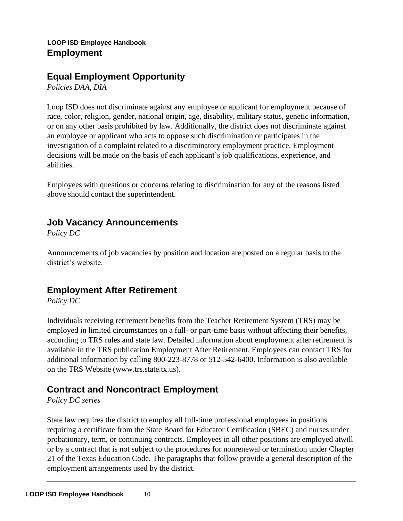#### <span id="page-9-1"></span><span id="page-9-0"></span>**Equal Employment Opportunity**

*Policies DAA, DIA* 

Loop ISD does not discriminate against any employee or applicant for employment because of race, color, religion, gender, national origin, age, disability, military status, genetic information, or on any other basis prohibited by law. Additionally, the district does not discriminate against an employee or applicant who acts to oppose such discrimination or participates in the investigation of a complaint related to a discriminatory employment practice. Employment decisions will be made on the basis of each applicant's job qualifications, experience, and abilities.

Employees with questions or concerns relating to discrimination for any of the reasons listed above should contact the superintendent.

#### <span id="page-9-2"></span>**Job Vacancy Announcements**

*Policy DC* 

Announcements of job vacancies by position and location are posted on a regular basis to the district's website.

### <span id="page-9-3"></span>**Employment After Retirement**

*Policy DC* 

Individuals receiving retirement benefits from the Teacher Retirement System (TRS) may be employed in limited circumstances on a full- or part-time basis without affecting their benefits, according to TRS rules and state law. Detailed information about employment after retirement is available in the TRS publication Employment After Retirement. Employees can contact TRS for additional information by calling 800-223-8778 or 512-542-6400. Information is also available on the TRS Website (www.trs.state.tx.us).

#### <span id="page-9-4"></span>**Contract and Noncontract Employment**

#### *Policy DC series*

State law requires the district to employ all full-time professional employees in positions requiring a certificate from the State Board for Educator Certification (SBEC) and nurses under probationary, term, or continuing contracts. Employees in all other positions are employed atwill or by a contract that is not subject to the procedures for nonrenewal or termination under Chapter 21 of the Texas Education Code. The paragraphs that follow provide a general description of the employment arrangements used by the district.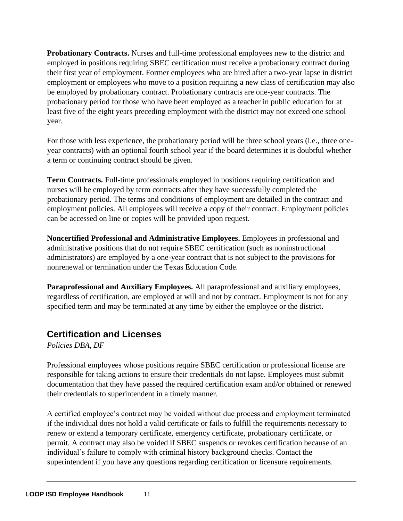**Probationary Contracts.** Nurses and full-time professional employees new to the district and employed in positions requiring SBEC certification must receive a probationary contract during their first year of employment. Former employees who are hired after a two-year lapse in district employment or employees who move to a position requiring a new class of certification may also be employed by probationary contract. Probationary contracts are one-year contracts. The probationary period for those who have been employed as a teacher in public education for at least five of the eight years preceding employment with the district may not exceed one school year.

For those with less experience, the probationary period will be three school years (i.e., three oneyear contracts) with an optional fourth school year if the board determines it is doubtful whether a term or continuing contract should be given.

**Term Contracts.** Full-time professionals employed in positions requiring certification and nurses will be employed by term contracts after they have successfully completed the probationary period. The terms and conditions of employment are detailed in the contract and employment policies. All employees will receive a copy of their contract. Employment policies can be accessed on line or copies will be provided upon request.

**Noncertified Professional and Administrative Employees.** Employees in professional and administrative positions that do not require SBEC certification (such as noninstructional administrators) are employed by a one-year contract that is not subject to the provisions for nonrenewal or termination under the Texas Education Code.

**Paraprofessional and Auxiliary Employees.** All paraprofessional and auxiliary employees, regardless of certification, are employed at will and not by contract. Employment is not for any specified term and may be terminated at any time by either the employee or the district.

#### <span id="page-10-0"></span>**Certification and Licenses**

*Policies DBA, DF* 

Professional employees whose positions require SBEC certification or professional license are responsible for taking actions to ensure their credentials do not lapse. Employees must submit documentation that they have passed the required certification exam and/or obtained or renewed their credentials to superintendent in a timely manner.

A certified employee's contract may be voided without due process and employment terminated if the individual does not hold a valid certificate or fails to fulfill the requirements necessary to renew or extend a temporary certificate, emergency certificate, probationary certificate, or permit. A contract may also be voided if SBEC suspends or revokes certification because of an individual's failure to comply with criminal history background checks. Contact the superintendent if you have any questions regarding certification or licensure requirements.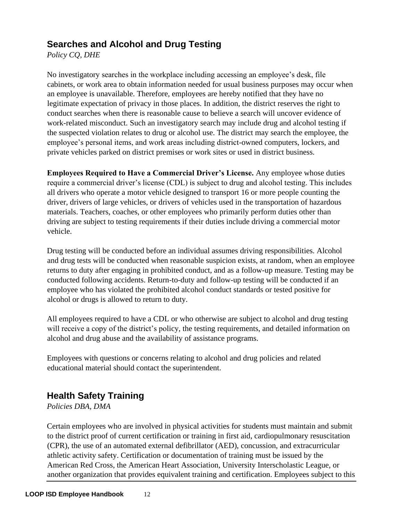#### <span id="page-11-0"></span>**Searches and Alcohol and Drug Testing**

*Policy CQ, DHE* 

No investigatory searches in the workplace including accessing an employee's desk, file cabinets, or work area to obtain information needed for usual business purposes may occur when an employee is unavailable. Therefore, employees are hereby notified that they have no legitimate expectation of privacy in those places. In addition, the district reserves the right to conduct searches when there is reasonable cause to believe a search will uncover evidence of work-related misconduct. Such an investigatory search may include drug and alcohol testing if the suspected violation relates to drug or alcohol use. The district may search the employee, the employee's personal items, and work areas including district-owned computers, lockers, and private vehicles parked on district premises or work sites or used in district business.

**Employees Required to Have a Commercial Driver's License.** Any employee whose duties require a commercial driver's license (CDL) is subject to drug and alcohol testing. This includes all drivers who operate a motor vehicle designed to transport 16 or more people counting the driver, drivers of large vehicles, or drivers of vehicles used in the transportation of hazardous materials. Teachers, coaches, or other employees who primarily perform duties other than driving are subject to testing requirements if their duties include driving a commercial motor vehicle.

Drug testing will be conducted before an individual assumes driving responsibilities. Alcohol and drug tests will be conducted when reasonable suspicion exists, at random, when an employee returns to duty after engaging in prohibited conduct, and as a follow-up measure. Testing may be conducted following accidents. Return-to-duty and follow-up testing will be conducted if an employee who has violated the prohibited alcohol conduct standards or tested positive for alcohol or drugs is allowed to return to duty.

All employees required to have a CDL or who otherwise are subject to alcohol and drug testing will receive a copy of the district's policy, the testing requirements, and detailed information on alcohol and drug abuse and the availability of assistance programs.

Employees with questions or concerns relating to alcohol and drug policies and related educational material should contact the superintendent.

### <span id="page-11-1"></span>**Health Safety Training**

*Policies DBA, DMA* 

Certain employees who are involved in physical activities for students must maintain and submit to the district proof of current certification or training in first aid, cardiopulmonary resuscitation (CPR), the use of an automated external defibrillator (AED), concussion, and extracurricular athletic activity safety. Certification or documentation of training must be issued by the American Red Cross, the American Heart Association, University Interscholastic League, or another organization that provides equivalent training and certification. Employees subject to this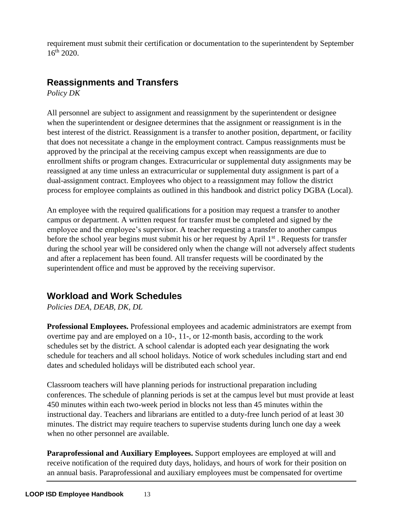requirement must submit their certification or documentation to the superintendent by September  $16^{th}$  2020.

#### <span id="page-12-0"></span>**Reassignments and Transfers**

*Policy DK* 

All personnel are subject to assignment and reassignment by the superintendent or designee when the superintendent or designee determines that the assignment or reassignment is in the best interest of the district. Reassignment is a transfer to another position, department, or facility that does not necessitate a change in the employment contract. Campus reassignments must be approved by the principal at the receiving campus except when reassignments are due to enrollment shifts or program changes. Extracurricular or supplemental duty assignments may be reassigned at any time unless an extracurricular or supplemental duty assignment is part of a dual-assignment contract. Employees who object to a reassignment may follow the district process for employee complaints as outlined in this handbook and district policy DGBA (Local).

An employee with the required qualifications for a position may request a transfer to another campus or department. A written request for transfer must be completed and signed by the employee and the employee's supervisor. A teacher requesting a transfer to another campus before the school year begins must submit his or her request by April  $1<sup>st</sup>$ . Requests for transfer during the school year will be considered only when the change will not adversely affect students and after a replacement has been found. All transfer requests will be coordinated by the superintendent office and must be approved by the receiving supervisor.

### <span id="page-12-1"></span>**Workload and Work Schedules**

*Policies DEA, DEAB, DK, DL* 

**Professional Employees.** Professional employees and academic administrators are exempt from overtime pay and are employed on a 10-, 11-, or 12-month basis, according to the work schedules set by the district. A school calendar is adopted each year designating the work schedule for teachers and all school holidays. Notice of work schedules including start and end dates and scheduled holidays will be distributed each school year.

Classroom teachers will have planning periods for instructional preparation including conferences. The schedule of planning periods is set at the campus level but must provide at least 450 minutes within each two-week period in blocks not less than 45 minutes within the instructional day. Teachers and librarians are entitled to a duty-free lunch period of at least 30 minutes. The district may require teachers to supervise students during lunch one day a week when no other personnel are available.

**Paraprofessional and Auxiliary Employees.** Support employees are employed at will and receive notification of the required duty days, holidays, and hours of work for their position on an annual basis. Paraprofessional and auxiliary employees must be compensated for overtime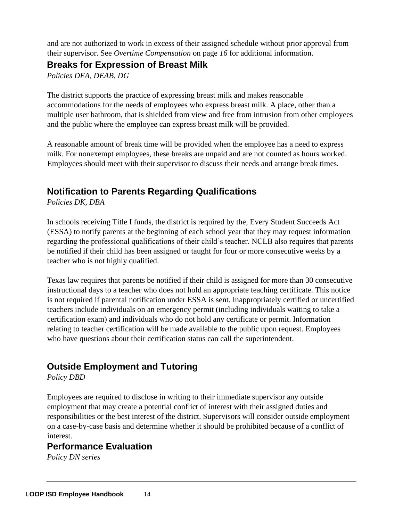and are not authorized to work in excess of their assigned schedule without prior approval from their supervisor. See *Overtime Compensation* on page *16* for additional information.

#### <span id="page-13-0"></span>**Breaks for Expression of Breast Milk**

*Policies DEA, DEAB, DG* 

The district supports the practice of expressing breast milk and makes reasonable accommodations for the needs of employees who express breast milk. A place, other than a multiple user bathroom, that is shielded from view and free from intrusion from other employees and the public where the employee can express breast milk will be provided.

A reasonable amount of break time will be provided when the employee has a need to express milk. For nonexempt employees, these breaks are unpaid and are not counted as hours worked. Employees should meet with their supervisor to discuss their needs and arrange break times.

### <span id="page-13-1"></span>**Notification to Parents Regarding Qualifications**

*Policies DK, DBA* 

In schools receiving Title I funds, the district is required by the, Every Student Succeeds Act (ESSA) to notify parents at the beginning of each school year that they may request information regarding the professional qualifications of their child's teacher. NCLB also requires that parents be notified if their child has been assigned or taught for four or more consecutive weeks by a teacher who is not highly qualified.

Texas law requires that parents be notified if their child is assigned for more than 30 consecutive instructional days to a teacher who does not hold an appropriate teaching certificate. This notice is not required if parental notification under ESSA is sent. Inappropriately certified or uncertified teachers include individuals on an emergency permit (including individuals waiting to take a certification exam) and individuals who do not hold any certificate or permit. Information relating to teacher certification will be made available to the public upon request. Employees who have questions about their certification status can call the superintendent.

### <span id="page-13-2"></span>**Outside Employment and Tutoring**

*Policy DBD* 

Employees are required to disclose in writing to their immediate supervisor any outside employment that may create a potential conflict of interest with their assigned duties and responsibilities or the best interest of the district. Supervisors will consider outside employment on a case-by-case basis and determine whether it should be prohibited because of a conflict of interest.

#### <span id="page-13-3"></span>**Performance Evaluation**

*Policy DN series*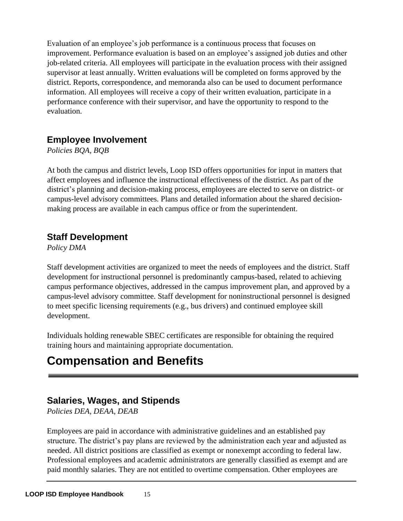Evaluation of an employee's job performance is a continuous process that focuses on improvement. Performance evaluation is based on an employee's assigned job duties and other job-related criteria. All employees will participate in the evaluation process with their assigned supervisor at least annually. Written evaluations will be completed on forms approved by the district. Reports, correspondence, and memoranda also can be used to document performance information. All employees will receive a copy of their written evaluation, participate in a performance conference with their supervisor, and have the opportunity to respond to the evaluation.

#### <span id="page-14-0"></span>**Employee Involvement**

*Policies BQA, BQB* 

At both the campus and district levels, Loop ISD offers opportunities for input in matters that affect employees and influence the instructional effectiveness of the district. As part of the district's planning and decision-making process, employees are elected to serve on district- or campus-level advisory committees. Plans and detailed information about the shared decisionmaking process are available in each campus office or from the superintendent.

#### <span id="page-14-1"></span>**Staff Development**

*Policy DMA* 

Staff development activities are organized to meet the needs of employees and the district. Staff development for instructional personnel is predominantly campus-based, related to achieving campus performance objectives, addressed in the campus improvement plan, and approved by a campus-level advisory committee. Staff development for noninstructional personnel is designed to meet specific licensing requirements (e.g., bus drivers) and continued employee skill development.

Individuals holding renewable SBEC certificates are responsible for obtaining the required training hours and maintaining appropriate documentation.

# <span id="page-14-2"></span>**Compensation and Benefits**

#### <span id="page-14-3"></span>**Salaries, Wages, and Stipends**

*Policies DEA, DEAA, DEAB* 

Employees are paid in accordance with administrative guidelines and an established pay structure. The district's pay plans are reviewed by the administration each year and adjusted as needed. All district positions are classified as exempt or nonexempt according to federal law. Professional employees and academic administrators are generally classified as exempt and are paid monthly salaries. They are not entitled to overtime compensation. Other employees are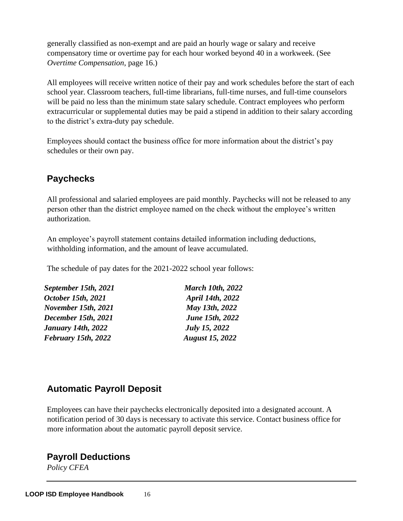generally classified as non-exempt and are paid an hourly wage or salary and receive compensatory time or overtime pay for each hour worked beyond 40 in a workweek. (See *Overtime Compensation*, page 16.)

All employees will receive written notice of their pay and work schedules before the start of each school year. Classroom teachers, full-time librarians, full-time nurses, and full-time counselors will be paid no less than the minimum state salary schedule. Contract employees who perform extracurricular or supplemental duties may be paid a stipend in addition to their salary according to the district's extra-duty pay schedule.

Employees should contact the business office for more information about the district's pay schedules or their own pay.

#### <span id="page-15-0"></span>**Paychecks**

All professional and salaried employees are paid monthly. Paychecks will not be released to any person other than the district employee named on the check without the employee's written authorization.

An employee's payroll statement contains detailed information including deductions, withholding information, and the amount of leave accumulated.

The schedule of pay dates for the 2021-2022 school year follows:

| September 15th, 2021      | <b>March 10th, 2022</b> |
|---------------------------|-------------------------|
| October 15th, 2021        | April 14th, 2022        |
| November 15th, 2021       | May 13th, 2022          |
| December 15th, 2021       | <b>June 15th, 2022</b>  |
| <b>January 14th, 2022</b> | July 15, 2022           |
| February 15th, 2022       | <b>August 15, 2022</b>  |

#### <span id="page-15-1"></span>**Automatic Payroll Deposit**

Employees can have their paychecks electronically deposited into a designated account. A notification period of 30 days is necessary to activate this service. Contact business office for more information about the automatic payroll deposit service.

#### <span id="page-15-2"></span>**Payroll Deductions**

*Policy CFEA*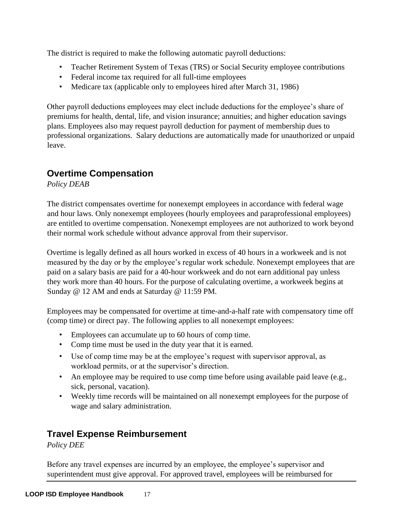The district is required to make the following automatic payroll deductions:

- Teacher Retirement System of Texas (TRS) or Social Security employee contributions
- Federal income tax required for all full-time employees
- Medicare tax (applicable only to employees hired after March 31, 1986)

Other payroll deductions employees may elect include deductions for the employee's share of premiums for health, dental, life, and vision insurance; annuities; and higher education savings plans. Employees also may request payroll deduction for payment of membership dues to professional organizations. Salary deductions are automatically made for unauthorized or unpaid leave.

### <span id="page-16-0"></span>**Overtime Compensation**

*Policy DEAB* 

The district compensates overtime for nonexempt employees in accordance with federal wage and hour laws. Only nonexempt employees (hourly employees and paraprofessional employees) are entitled to overtime compensation. Nonexempt employees are not authorized to work beyond their normal work schedule without advance approval from their supervisor.

Overtime is legally defined as all hours worked in excess of 40 hours in a workweek and is not measured by the day or by the employee's regular work schedule. Nonexempt employees that are paid on a salary basis are paid for a 40-hour workweek and do not earn additional pay unless they work more than 40 hours. For the purpose of calculating overtime, a workweek begins at Sunday @ 12 AM and ends at Saturday @ 11:59 PM.

Employees may be compensated for overtime at time-and-a-half rate with compensatory time off (comp time) or direct pay. The following applies to all nonexempt employees:

- Employees can accumulate up to 60 hours of comp time.
- Comp time must be used in the duty year that it is earned.
- Use of comp time may be at the employee's request with supervisor approval, as workload permits, or at the supervisor's direction.
- An employee may be required to use comp time before using available paid leave (e.g., sick, personal, vacation).
- Weekly time records will be maintained on all nonexempt employees for the purpose of wage and salary administration.

#### <span id="page-16-1"></span>**Travel Expense Reimbursement**

*Policy DEE* 

Before any travel expenses are incurred by an employee, the employee's supervisor and superintendent must give approval. For approved travel, employees will be reimbursed for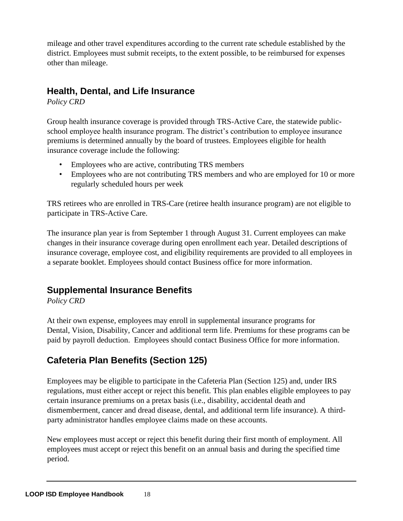mileage and other travel expenditures according to the current rate schedule established by the district. Employees must submit receipts, to the extent possible, to be reimbursed for expenses other than mileage.

### <span id="page-17-0"></span>**Health, Dental, and Life Insurance**

*Policy CRD* 

Group health insurance coverage is provided through TRS-Active Care, the statewide publicschool employee health insurance program. The district's contribution to employee insurance premiums is determined annually by the board of trustees. Employees eligible for health insurance coverage include the following:

- Employees who are active, contributing TRS members
- Employees who are not contributing TRS members and who are employed for 10 or more regularly scheduled hours per week

TRS retirees who are enrolled in TRS-Care (retiree health insurance program) are not eligible to participate in TRS-Active Care.

The insurance plan year is from September 1 through August 31. Current employees can make changes in their insurance coverage during open enrollment each year. Detailed descriptions of insurance coverage, employee cost, and eligibility requirements are provided to all employees in a separate booklet. Employees should contact Business office for more information.

### <span id="page-17-1"></span>**Supplemental Insurance Benefits**

*Policy CRD* 

At their own expense, employees may enroll in supplemental insurance programs for Dental, Vision, Disability, Cancer and additional term life. Premiums for these programs can be paid by payroll deduction. Employees should contact Business Office for more information.

### <span id="page-17-2"></span>**Cafeteria Plan Benefits (Section 125)**

Employees may be eligible to participate in the Cafeteria Plan (Section 125) and, under IRS regulations, must either accept or reject this benefit. This plan enables eligible employees to pay certain insurance premiums on a pretax basis (i.e., disability, accidental death and dismemberment, cancer and dread disease, dental, and additional term life insurance). A thirdparty administrator handles employee claims made on these accounts.

New employees must accept or reject this benefit during their first month of employment. All employees must accept or reject this benefit on an annual basis and during the specified time period.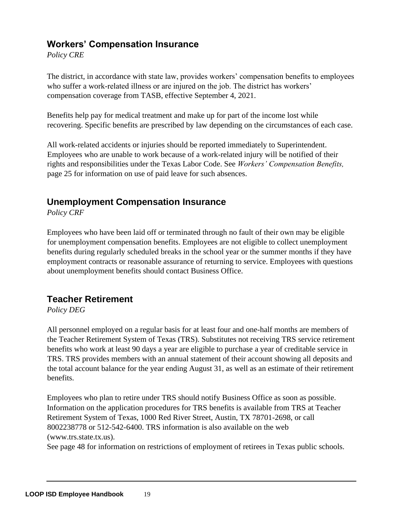#### <span id="page-18-0"></span>**Workers' Compensation Insurance**

*Policy CRE* 

The district, in accordance with state law, provides workers' compensation benefits to employees who suffer a work-related illness or are injured on the job. The district has workers' compensation coverage from TASB, effective September 4, 2021.

Benefits help pay for medical treatment and make up for part of the income lost while recovering. Specific benefits are prescribed by law depending on the circumstances of each case.

All work-related accidents or injuries should be reported immediately to Superintendent. Employees who are unable to work because of a work-related injury will be notified of their rights and responsibilities under the Texas Labor Code. See *Workers' Compensation Benefits,*  page 25 for information on use of paid leave for such absences.

### <span id="page-18-1"></span>**Unemployment Compensation Insurance**

*Policy CRF* 

Employees who have been laid off or terminated through no fault of their own may be eligible for unemployment compensation benefits. Employees are not eligible to collect unemployment benefits during regularly scheduled breaks in the school year or the summer months if they have employment contracts or reasonable assurance of returning to service. Employees with questions about unemployment benefits should contact Business Office.

### <span id="page-18-2"></span>**Teacher Retirement**

*Policy DEG* 

All personnel employed on a regular basis for at least four and one-half months are members of the Teacher Retirement System of Texas (TRS). Substitutes not receiving TRS service retirement benefits who work at least 90 days a year are eligible to purchase a year of creditable service in TRS. TRS provides members with an annual statement of their account showing all deposits and the total account balance for the year ending August 31, as well as an estimate of their retirement benefits.

Employees who plan to retire under TRS should notify Business Office as soon as possible. Information on the application procedures for TRS benefits is available from TRS at Teacher Retirement System of Texas, 1000 Red River Street, Austin, TX 78701-2698, or call 8002238778 or 512-542-6400. TRS information is also available on the web (www.trs.state.tx.us).

See page 48 for information on restrictions of employment of retirees in Texas public schools.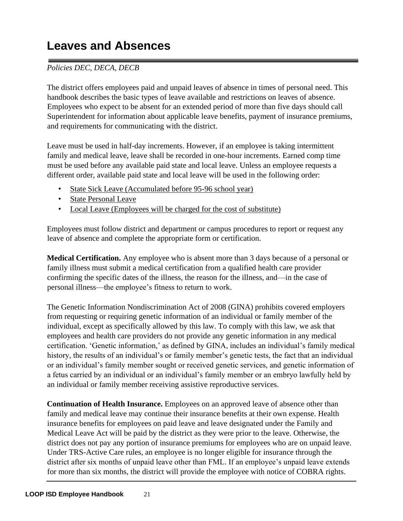# <span id="page-20-0"></span>**Leaves and Absences**

#### *Policies DEC, DECA, DECB*

The district offers employees paid and unpaid leaves of absence in times of personal need. This handbook describes the basic types of leave available and restrictions on leaves of absence. Employees who expect to be absent for an extended period of more than five days should call Superintendent for information about applicable leave benefits, payment of insurance premiums, and requirements for communicating with the district.

Leave must be used in half-day increments. However, if an employee is taking intermittent family and medical leave, leave shall be recorded in one-hour increments. Earned comp time must be used before any available paid state and local leave. Unless an employee requests a different order, available paid state and local leave will be used in the following order:

- State Sick Leave (Accumulated before 95-96 school year)
- State Personal Leave
- Local Leave (Employees will be charged for the cost of substitute)

Employees must follow district and department or campus procedures to report or request any leave of absence and complete the appropriate form or certification.

**Medical Certification.** Any employee who is absent more than 3 days because of a personal or family illness must submit a medical certification from a qualified health care provider confirming the specific dates of the illness, the reason for the illness, and—in the case of personal illness—the employee's fitness to return to work.

The Genetic Information Nondiscrimination Act of 2008 (GINA) prohibits covered employers from requesting or requiring genetic information of an individual or family member of the individual, except as specifically allowed by this law. To comply with this law, we ask that employees and health care providers do not provide any genetic information in any medical certification. 'Genetic information,' as defined by GINA, includes an individual's family medical history, the results of an individual's or family member's genetic tests, the fact that an individual or an individual's family member sought or received genetic services, and genetic information of a fetus carried by an individual or an individual's family member or an embryo lawfully held by an individual or family member receiving assistive reproductive services.

**Continuation of Health Insurance.** Employees on an approved leave of absence other than family and medical leave may continue their insurance benefits at their own expense. Health insurance benefits for employees on paid leave and leave designated under the Family and Medical Leave Act will be paid by the district as they were prior to the leave. Otherwise, the district does not pay any portion of insurance premiums for employees who are on unpaid leave. Under TRS-Active Care rules, an employee is no longer eligible for insurance through the district after six months of unpaid leave other than FML. If an employee's unpaid leave extends for more than six months, the district will provide the employee with notice of COBRA rights.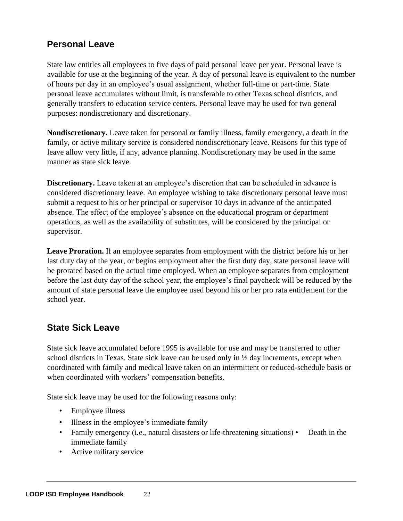#### <span id="page-21-0"></span>**Personal Leave**

State law entitles all employees to five days of paid personal leave per year. Personal leave is available for use at the beginning of the year. A day of personal leave is equivalent to the number of hours per day in an employee's usual assignment, whether full-time or part-time. State personal leave accumulates without limit, is transferable to other Texas school districts, and generally transfers to education service centers. Personal leave may be used for two general purposes: nondiscretionary and discretionary.

**Nondiscretionary.** Leave taken for personal or family illness, family emergency, a death in the family, or active military service is considered nondiscretionary leave. Reasons for this type of leave allow very little, if any, advance planning. Nondiscretionary may be used in the same manner as state sick leave.

**Discretionary.** Leave taken at an employee's discretion that can be scheduled in advance is considered discretionary leave. An employee wishing to take discretionary personal leave must submit a request to his or her principal or supervisor 10 days in advance of the anticipated absence. The effect of the employee's absence on the educational program or department operations, as well as the availability of substitutes, will be considered by the principal or supervisor.

Leave Proration. If an employee separates from employment with the district before his or her last duty day of the year, or begins employment after the first duty day, state personal leave will be prorated based on the actual time employed. When an employee separates from employment before the last duty day of the school year, the employee's final paycheck will be reduced by the amount of state personal leave the employee used beyond his or her pro rata entitlement for the school year.

#### <span id="page-21-1"></span>**State Sick Leave**

State sick leave accumulated before 1995 is available for use and may be transferred to other school districts in Texas. State sick leave can be used only in ½ day increments, except when coordinated with family and medical leave taken on an intermittent or reduced-schedule basis or when coordinated with workers' compensation benefits.

State sick leave may be used for the following reasons only:

- Employee illness
- Illness in the employee's immediate family
- Family emergency (i.e., natural disasters or life-threatening situations) Death in the immediate family
- Active military service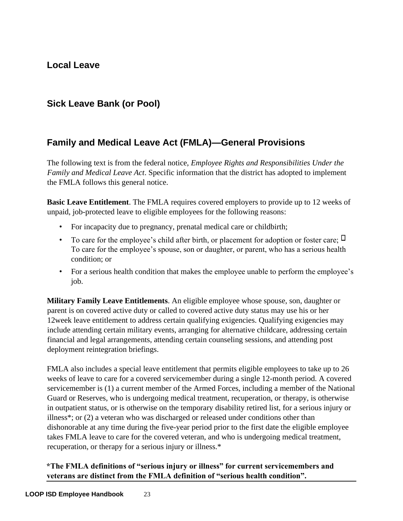#### <span id="page-22-0"></span>**Local Leave**

### <span id="page-22-1"></span>**Sick Leave Bank (or Pool)**

#### <span id="page-22-2"></span>**Family and Medical Leave Act (FMLA)—General Provisions**

The following text is from the federal notice, *Employee Rights and Responsibilities Under the Family and Medical Leave Act*. Specific information that the district has adopted to implement the FMLA follows this general notice.

**Basic Leave Entitlement**. The FMLA requires covered employers to provide up to 12 weeks of unpaid, job-protected leave to eligible employees for the following reasons:

- For incapacity due to pregnancy, prenatal medical care or childbirth;
- To care for the employee's child after birth, or placement for adoption or foster care;  $\Box$ To care for the employee's spouse, son or daughter, or parent, who has a serious health condition; or
- For a serious health condition that makes the employee unable to perform the employee's job.

**Military Family Leave Entitlements**. An eligible employee whose spouse, son, daughter or parent is on covered active duty or called to covered active duty status may use his or her 12week leave entitlement to address certain qualifying exigencies. Qualifying exigencies may include attending certain military events, arranging for alternative childcare, addressing certain financial and legal arrangements, attending certain counseling sessions, and attending post deployment reintegration briefings.

FMLA also includes a special leave entitlement that permits eligible employees to take up to 26 weeks of leave to care for a covered servicemember during a single 12-month period. A covered servicemember is (1) a current member of the Armed Forces, including a member of the National Guard or Reserves, who is undergoing medical treatment, recuperation, or therapy, is otherwise in outpatient status, or is otherwise on the temporary disability retired list, for a serious injury or illness\*; or (2) a veteran who was discharged or released under conditions other than dishonorable at any time during the five-year period prior to the first date the eligible employee takes FMLA leave to care for the covered veteran, and who is undergoing medical treatment, recuperation, or therapy for a serious injury or illness.\*

#### **\*The FMLA definitions of "serious injury or illness" for current servicemembers and veterans are distinct from the FMLA definition of "serious health condition".**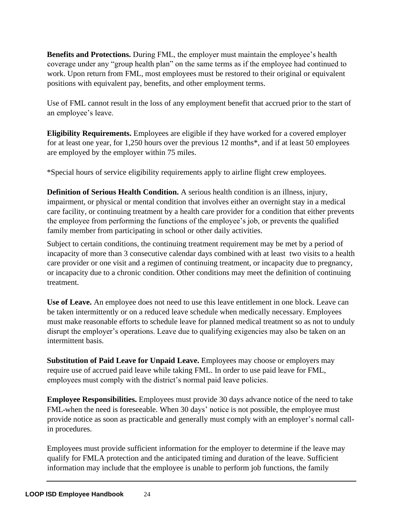**Benefits and Protections.** During FML, the employer must maintain the employee's health coverage under any "group health plan" on the same terms as if the employee had continued to work. Upon return from FML, most employees must be restored to their original or equivalent positions with equivalent pay, benefits, and other employment terms.

Use of FML cannot result in the loss of any employment benefit that accrued prior to the start of an employee's leave.

**Eligibility Requirements.** Employees are eligible if they have worked for a covered employer for at least one year, for 1,250 hours over the previous 12 months\*, and if at least 50 employees are employed by the employer within 75 miles.

\*Special hours of service eligibility requirements apply to airline flight crew employees.

**Definition of Serious Health Condition.** A serious health condition is an illness, injury, impairment, or physical or mental condition that involves either an overnight stay in a medical care facility, or continuing treatment by a health care provider for a condition that either prevents the employee from performing the functions of the employee's job, or prevents the qualified family member from participating in school or other daily activities.

Subject to certain conditions, the continuing treatment requirement may be met by a period of incapacity of more than 3 consecutive calendar days combined with at least two visits to a health care provider or one visit and a regimen of continuing treatment, or incapacity due to pregnancy, or incapacity due to a chronic condition. Other conditions may meet the definition of continuing treatment.

**Use of Leave.** An employee does not need to use this leave entitlement in one block. Leave can be taken intermittently or on a reduced leave schedule when medically necessary. Employees must make reasonable efforts to schedule leave for planned medical treatment so as not to unduly disrupt the employer's operations. Leave due to qualifying exigencies may also be taken on an intermittent basis.

**Substitution of Paid Leave for Unpaid Leave.** Employees may choose or employers may require use of accrued paid leave while taking FML. In order to use paid leave for FML, employees must comply with the district's normal paid leave policies.

**Employee Responsibilities.** Employees must provide 30 days advance notice of the need to take FML-when the need is foreseeable. When 30 days' notice is not possible, the employee must provide notice as soon as practicable and generally must comply with an employer's normal callin procedures.

Employees must provide sufficient information for the employer to determine if the leave may qualify for FMLA protection and the anticipated timing and duration of the leave. Sufficient information may include that the employee is unable to perform job functions, the family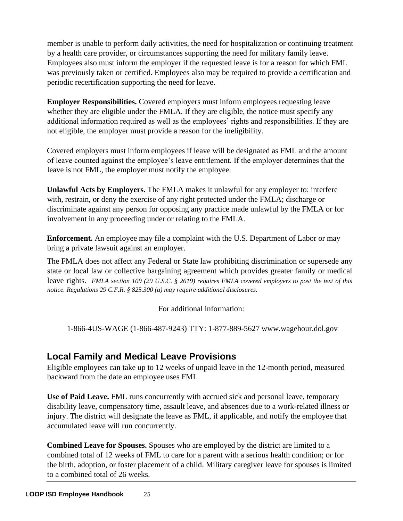member is unable to perform daily activities, the need for hospitalization or continuing treatment by a health care provider, or circumstances supporting the need for military family leave. Employees also must inform the employer if the requested leave is for a reason for which FML was previously taken or certified. Employees also may be required to provide a certification and periodic recertification supporting the need for leave.

**Employer Responsibilities.** Covered employers must inform employees requesting leave whether they are eligible under the FMLA. If they are eligible, the notice must specify any additional information required as well as the employees' rights and responsibilities. If they are not eligible, the employer must provide a reason for the ineligibility.

Covered employers must inform employees if leave will be designated as FML and the amount of leave counted against the employee's leave entitlement. If the employer determines that the leave is not FML, the employer must notify the employee.

**Unlawful Acts by Employers.** The FMLA makes it unlawful for any employer to: interfere with, restrain, or deny the exercise of any right protected under the FMLA; discharge or discriminate against any person for opposing any practice made unlawful by the FMLA or for involvement in any proceeding under or relating to the FMLA.

**Enforcement.** An employee may file a complaint with the U.S. Department of Labor or may bring a private lawsuit against an employer.

The FMLA does not affect any Federal or State law prohibiting discrimination or supersede any state or local law or collective bargaining agreement which provides greater family or medical leave rights. *FMLA section 109 (29 U.S.C. § 2619) requires FMLA covered employers to post the text of this notice. Regulations 29 C.F.R. § 825.300 (a) may require additional disclosures.*

For additional information:

1-866-4US-WAGE (1-866-487-9243) TTY: 1-877-889-5627 www.wagehour.dol.gov

#### <span id="page-24-0"></span>**Local Family and Medical Leave Provisions**

Eligible employees can take up to 12 weeks of unpaid leave in the 12-month period, measured backward from the date an employee uses FML

**Use of Paid Leave.** FML runs concurrently with accrued sick and personal leave, temporary disability leave, compensatory time, assault leave, and absences due to a work-related illness or injury. The district will designate the leave as FML, if applicable, and notify the employee that accumulated leave will run concurrently.

**Combined Leave for Spouses.** Spouses who are employed by the district are limited to a combined total of 12 weeks of FML to care for a parent with a serious health condition; or for the birth, adoption, or foster placement of a child. Military caregiver leave for spouses is limited to a combined total of 26 weeks.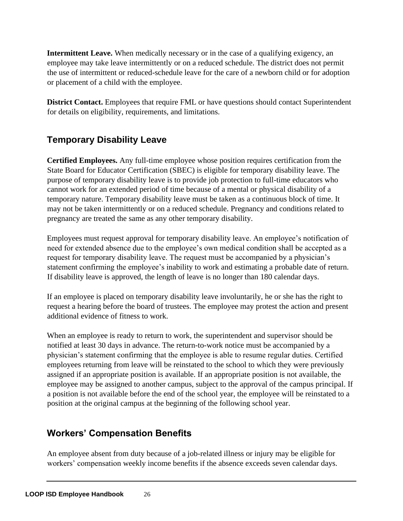**Intermittent Leave.** When medically necessary or in the case of a qualifying exigency, an employee may take leave intermittently or on a reduced schedule. The district does not permit the use of intermittent or reduced-schedule leave for the care of a newborn child or for adoption or placement of a child with the employee.

**District Contact.** Employees that require FML or have questions should contact Superintendent for details on eligibility, requirements, and limitations.

#### <span id="page-25-0"></span>**Temporary Disability Leave**

**Certified Employees.** Any full-time employee whose position requires certification from the State Board for Educator Certification (SBEC) is eligible for temporary disability leave. The purpose of temporary disability leave is to provide job protection to full-time educators who cannot work for an extended period of time because of a mental or physical disability of a temporary nature. Temporary disability leave must be taken as a continuous block of time. It may not be taken intermittently or on a reduced schedule. Pregnancy and conditions related to pregnancy are treated the same as any other temporary disability.

Employees must request approval for temporary disability leave. An employee's notification of need for extended absence due to the employee's own medical condition shall be accepted as a request for temporary disability leave. The request must be accompanied by a physician's statement confirming the employee's inability to work and estimating a probable date of return. If disability leave is approved, the length of leave is no longer than 180 calendar days.

If an employee is placed on temporary disability leave involuntarily, he or she has the right to request a hearing before the board of trustees. The employee may protest the action and present additional evidence of fitness to work.

When an employee is ready to return to work, the superintendent and supervisor should be notified at least 30 days in advance. The return-to-work notice must be accompanied by a physician's statement confirming that the employee is able to resume regular duties. Certified employees returning from leave will be reinstated to the school to which they were previously assigned if an appropriate position is available. If an appropriate position is not available, the employee may be assigned to another campus, subject to the approval of the campus principal. If a position is not available before the end of the school year, the employee will be reinstated to a position at the original campus at the beginning of the following school year.

#### <span id="page-25-1"></span>**Workers' Compensation Benefits**

An employee absent from duty because of a job-related illness or injury may be eligible for workers' compensation weekly income benefits if the absence exceeds seven calendar days.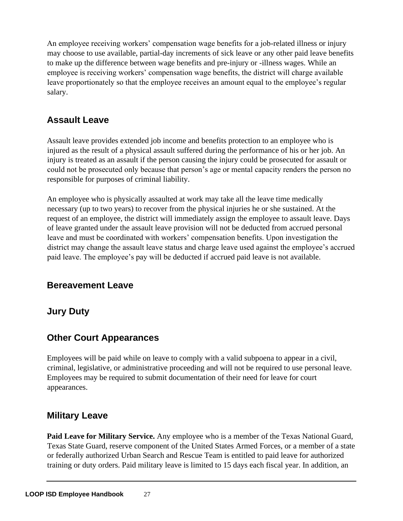An employee receiving workers' compensation wage benefits for a job-related illness or injury may choose to use available, partial-day increments of sick leave or any other paid leave benefits to make up the difference between wage benefits and pre-injury or -illness wages. While an employee is receiving workers' compensation wage benefits, the district will charge available leave proportionately so that the employee receives an amount equal to the employee's regular salary.

#### <span id="page-26-0"></span>**Assault Leave**

Assault leave provides extended job income and benefits protection to an employee who is injured as the result of a physical assault suffered during the performance of his or her job. An injury is treated as an assault if the person causing the injury could be prosecuted for assault or could not be prosecuted only because that person's age or mental capacity renders the person no responsible for purposes of criminal liability.

An employee who is physically assaulted at work may take all the leave time medically necessary (up to two years) to recover from the physical injuries he or she sustained. At the request of an employee, the district will immediately assign the employee to assault leave. Days of leave granted under the assault leave provision will not be deducted from accrued personal leave and must be coordinated with workers' compensation benefits. Upon investigation the district may change the assault leave status and charge leave used against the employee's accrued paid leave. The employee's pay will be deducted if accrued paid leave is not available.

#### <span id="page-26-1"></span>**Bereavement Leave**

#### <span id="page-26-2"></span>**Jury Duty**

#### <span id="page-26-3"></span>**Other Court Appearances**

Employees will be paid while on leave to comply with a valid subpoena to appear in a civil, criminal, legislative, or administrative proceeding and will not be required to use personal leave. Employees may be required to submit documentation of their need for leave for court appearances.

#### <span id="page-26-4"></span>**Military Leave**

**Paid Leave for Military Service.** Any employee who is a member of the Texas National Guard, Texas State Guard, reserve component of the United States Armed Forces, or a member of a state or federally authorized Urban Search and Rescue Team is entitled to paid leave for authorized training or duty orders. Paid military leave is limited to 15 days each fiscal year. In addition, an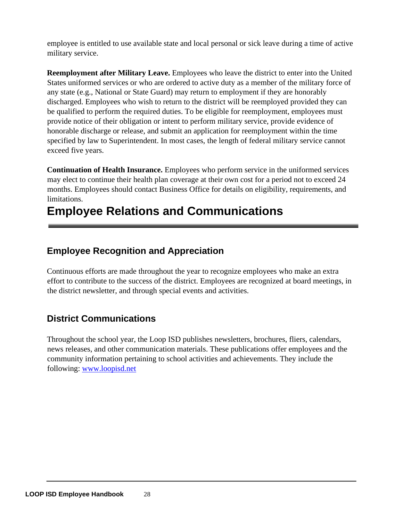employee is entitled to use available state and local personal or sick leave during a time of active military service.

**Reemployment after Military Leave.** Employees who leave the district to enter into the United States uniformed services or who are ordered to active duty as a member of the military force of any state (e.g., National or State Guard) may return to employment if they are honorably discharged. Employees who wish to return to the district will be reemployed provided they can be qualified to perform the required duties. To be eligible for reemployment, employees must provide notice of their obligation or intent to perform military service, provide evidence of honorable discharge or release, and submit an application for reemployment within the time specified by law to Superintendent. In most cases, the length of federal military service cannot exceed five years.

**Continuation of Health Insurance.** Employees who perform service in the uniformed services may elect to continue their health plan coverage at their own cost for a period not to exceed 24 months. Employees should contact Business Office for details on eligibility, requirements, and limitations.

# <span id="page-27-0"></span>**Employee Relations and Communications**

#### <span id="page-27-1"></span>**Employee Recognition and Appreciation**

Continuous efforts are made throughout the year to recognize employees who make an extra effort to contribute to the success of the district. Employees are recognized at board meetings, in the district newsletter, and through special events and activities.

#### <span id="page-27-2"></span>**District Communications**

Throughout the school year, the Loop ISD publishes newsletters, brochures, fliers, calendars, news releases, and other communication materials. These publications offer employees and the community information pertaining to school activities and achievements. They include the following: [www.loopisd.net](http://www.loopisd.net/)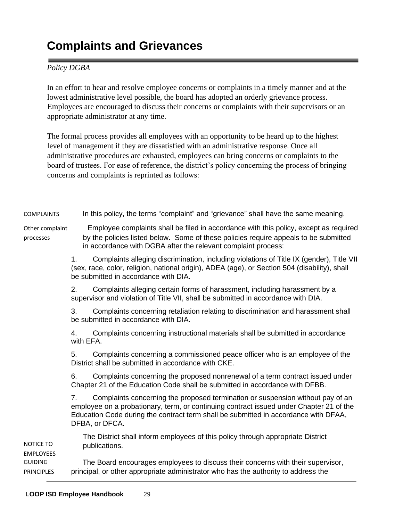# <span id="page-28-0"></span>**Complaints and Grievances**

#### *Policy DGBA*

In an effort to hear and resolve employee concerns or complaints in a timely manner and at the lowest administrative level possible, the board has adopted an orderly grievance process. Employees are encouraged to discuss their concerns or complaints with their supervisors or an appropriate administrator at any time.

The formal process provides all employees with an opportunity to be heard up to the highest level of management if they are dissatisfied with an administrative response. Once all administrative procedures are exhausted, employees can bring concerns or complaints to the board of trustees. For ease of reference, the district's policy concerning the process of bringing concerns and complaints is reprinted as follows:

COMPLAINTS In this policy, the terms "complaint" and "grievance" shall have the same meaning.

processes

Other complaint Employee complaints shall be filed in accordance with this policy, except as required by the policies listed below. Some of these policies require appeals to be submitted in accordance with DGBA after the relevant complaint process:

> 1. Complaints alleging discrimination, including violations of Title IX (gender), Title VII (sex, race, color, religion, national origin), ADEA (age), or Section 504 (disability), shall be submitted in accordance with DIA.

2. Complaints alleging certain forms of harassment, including harassment by a supervisor and violation of Title VII, shall be submitted in accordance with DIA.

3. Complaints concerning retaliation relating to discrimination and harassment shall be submitted in accordance with DIA.

4. Complaints concerning instructional materials shall be submitted in accordance with EFA.

5. Complaints concerning a commissioned peace officer who is an employee of the District shall be submitted in accordance with CKE.

6. Complaints concerning the proposed nonrenewal of a term contract issued under Chapter 21 of the Education Code shall be submitted in accordance with DFBB.

7. Complaints concerning the proposed termination or suspension without pay of an employee on a probationary, term, or continuing contract issued under Chapter 21 of the Education Code during the contract term shall be submitted in accordance with DFAA, DFBA, or DFCA.

NOTICE TO EMPLOYEES The District shall inform employees of this policy through appropriate District publications. GUIDING The Board encourages employees to discuss their concerns with their supervisor, PRINCIPLES principal, or other appropriate administrator who has the authority to address the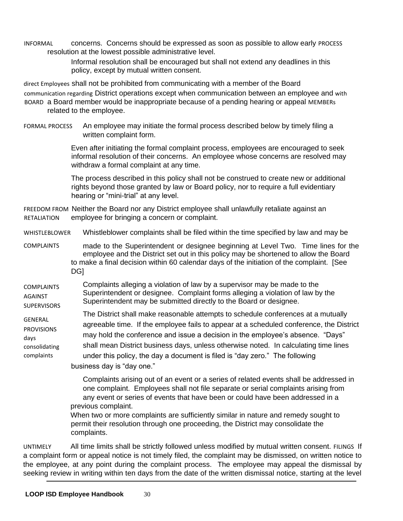INFORMAL concerns. Concerns should be expressed as soon as possible to allow early PROCESS resolution at the lowest possible administrative level.

> Informal resolution shall be encouraged but shall not extend any deadlines in this policy, except by mutual written consent.

direct Employees shall not be prohibited from communicating with a member of the Board communication regarding District operations except when communication between an employee and with BOARD a Board member would be inappropriate because of a pending hearing or appeal MEMBERs related to the employee.

FORMAL PROCESS An employee may initiate the formal process described below by timely filing a written complaint form.

> Even after initiating the formal complaint process, employees are encouraged to seek informal resolution of their concerns. An employee whose concerns are resolved may withdraw a formal complaint at any time.

> The process described in this policy shall not be construed to create new or additional rights beyond those granted by law or Board policy, nor to require a full evidentiary hearing or "mini-trial" at any level.

FREEDOM FROM Neither the Board nor any District employee shall unlawfully retaliate against an RETALIATION employee for bringing a concern or complaint.

- WHISTLEBLOWER Whistleblower complaints shall be filed within the time specified by law and may be
- COMPLAINTS made to the Superintendent or designee beginning at Level Two. Time lines for the employee and the District set out in this policy may be shortened to allow the Board to make a final decision within 60 calendar days of the initiation of the complaint. [See DG]

**COMPLAINTS** AGAINST **SUPERVISORS** Complaints alleging a violation of law by a supervisor may be made to the Superintendent or designee. Complaint forms alleging a violation of law by the Superintendent may be submitted directly to the Board or designee.

GENERAL PROVISIONS days consolidating complaints The District shall make reasonable attempts to schedule conferences at a mutually agreeable time. If the employee fails to appear at a scheduled conference, the District may hold the conference and issue a decision in the employee's absence. "Days" shall mean District business days, unless otherwise noted. In calculating time lines under this policy, the day a document is filed is "day zero." The following

business day is "day one."

Complaints arising out of an event or a series of related events shall be addressed in one complaint. Employees shall not file separate or serial complaints arising from any event or series of events that have been or could have been addressed in a previous complaint.

When two or more complaints are sufficiently similar in nature and remedy sought to permit their resolution through one proceeding, the District may consolidate the complaints.

UNTIMELY All time limits shall be strictly followed unless modified by mutual written consent. FILINGS If a complaint form or appeal notice is not timely filed, the complaint may be dismissed, on written notice to the employee, at any point during the complaint process. The employee may appeal the dismissal by seeking review in writing within ten days from the date of the written dismissal notice, starting at the level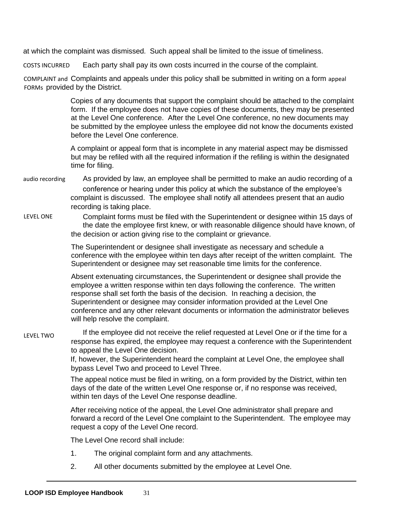at which the complaint was dismissed. Such appeal shall be limited to the issue of timeliness.

COSTS INCURRED Each party shall pay its own costs incurred in the course of the complaint.

COMPLAINT and Complaints and appeals under this policy shall be submitted in writing on a form appeal FORMs provided by the District.

> Copies of any documents that support the complaint should be attached to the complaint form. If the employee does not have copies of these documents, they may be presented at the Level One conference. After the Level One conference, no new documents may be submitted by the employee unless the employee did not know the documents existed before the Level One conference.

A complaint or appeal form that is incomplete in any material aspect may be dismissed but may be refiled with all the required information if the refiling is within the designated time for filing.

- audio recording As provided by law, an employee shall be permitted to make an audio recording of a conference or hearing under this policy at which the substance of the employee's complaint is discussed. The employee shall notify all attendees present that an audio recording is taking place.
- LEVEL ONE Complaint forms must be filed with the Superintendent or designee within 15 days of the date the employee first knew, or with reasonable diligence should have known, of the decision or action giving rise to the complaint or grievance.

The Superintendent or designee shall investigate as necessary and schedule a conference with the employee within ten days after receipt of the written complaint. The Superintendent or designee may set reasonable time limits for the conference.

Absent extenuating circumstances, the Superintendent or designee shall provide the employee a written response within ten days following the conference. The written response shall set forth the basis of the decision. In reaching a decision, the Superintendent or designee may consider information provided at the Level One conference and any other relevant documents or information the administrator believes will help resolve the complaint.

LEVEL TWO If the employee did not receive the relief requested at Level One or if the time for a response has expired, the employee may request a conference with the Superintendent to appeal the Level One decision.

> If, however, the Superintendent heard the complaint at Level One, the employee shall bypass Level Two and proceed to Level Three.

The appeal notice must be filed in writing, on a form provided by the District, within ten days of the date of the written Level One response or, if no response was received, within ten days of the Level One response deadline.

After receiving notice of the appeal, the Level One administrator shall prepare and forward a record of the Level One complaint to the Superintendent. The employee may request a copy of the Level One record.

The Level One record shall include:

- 1. The original complaint form and any attachments.
- 2. All other documents submitted by the employee at Level One.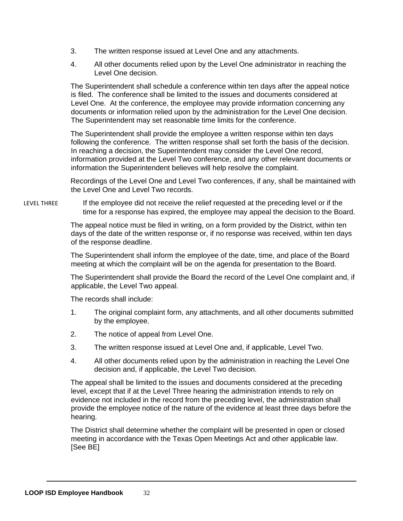- 3. The written response issued at Level One and any attachments.
- 4. All other documents relied upon by the Level One administrator in reaching the Level One decision.

The Superintendent shall schedule a conference within ten days after the appeal notice is filed. The conference shall be limited to the issues and documents considered at Level One. At the conference, the employee may provide information concerning any documents or information relied upon by the administration for the Level One decision. The Superintendent may set reasonable time limits for the conference.

The Superintendent shall provide the employee a written response within ten days following the conference. The written response shall set forth the basis of the decision. In reaching a decision, the Superintendent may consider the Level One record, information provided at the Level Two conference, and any other relevant documents or information the Superintendent believes will help resolve the complaint.

Recordings of the Level One and Level Two conferences, if any, shall be maintained with the Level One and Level Two records.

LEVEL THREE If the employee did not receive the relief requested at the preceding level or if the time for a response has expired, the employee may appeal the decision to the Board.

> The appeal notice must be filed in writing, on a form provided by the District, within ten days of the date of the written response or, if no response was received, within ten days of the response deadline.

> The Superintendent shall inform the employee of the date, time, and place of the Board meeting at which the complaint will be on the agenda for presentation to the Board.

The Superintendent shall provide the Board the record of the Level One complaint and, if applicable, the Level Two appeal.

The records shall include:

- 1. The original complaint form, any attachments, and all other documents submitted by the employee.
- 2. The notice of appeal from Level One.
- 3. The written response issued at Level One and, if applicable, Level Two.
- 4. All other documents relied upon by the administration in reaching the Level One decision and, if applicable, the Level Two decision.

The appeal shall be limited to the issues and documents considered at the preceding level, except that if at the Level Three hearing the administration intends to rely on evidence not included in the record from the preceding level, the administration shall provide the employee notice of the nature of the evidence at least three days before the hearing.

The District shall determine whether the complaint will be presented in open or closed meeting in accordance with the Texas Open Meetings Act and other applicable law. [See BE]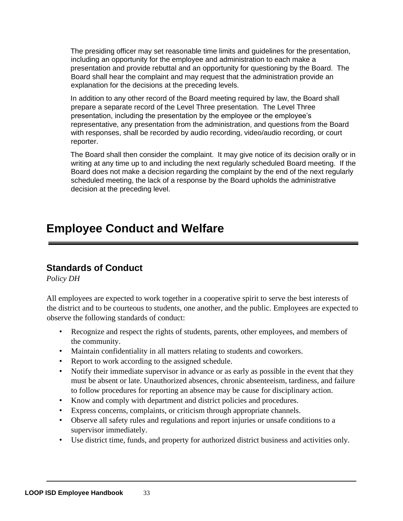The presiding officer may set reasonable time limits and guidelines for the presentation, including an opportunity for the employee and administration to each make a presentation and provide rebuttal and an opportunity for questioning by the Board. The Board shall hear the complaint and may request that the administration provide an explanation for the decisions at the preceding levels.

In addition to any other record of the Board meeting required by law, the Board shall prepare a separate record of the Level Three presentation. The Level Three presentation, including the presentation by the employee or the employee's representative, any presentation from the administration, and questions from the Board with responses, shall be recorded by audio recording, video/audio recording, or court reporter.

The Board shall then consider the complaint. It may give notice of its decision orally or in writing at any time up to and including the next regularly scheduled Board meeting. If the Board does not make a decision regarding the complaint by the end of the next regularly scheduled meeting, the lack of a response by the Board upholds the administrative decision at the preceding level.

## <span id="page-32-0"></span>**Employee Conduct and Welfare**

#### <span id="page-32-1"></span>**Standards of Conduct**

*Policy DH* 

All employees are expected to work together in a cooperative spirit to serve the best interests of the district and to be courteous to students, one another, and the public. Employees are expected to observe the following standards of conduct:

- Recognize and respect the rights of students, parents, other employees, and members of the community.
- Maintain confidentiality in all matters relating to students and coworkers.
- Report to work according to the assigned schedule.
- Notify their immediate supervisor in advance or as early as possible in the event that they must be absent or late. Unauthorized absences, chronic absenteeism, tardiness, and failure to follow procedures for reporting an absence may be cause for disciplinary action.
- Know and comply with department and district policies and procedures.
- Express concerns, complaints, or criticism through appropriate channels.
- Observe all safety rules and regulations and report injuries or unsafe conditions to a supervisor immediately.
- Use district time, funds, and property for authorized district business and activities only.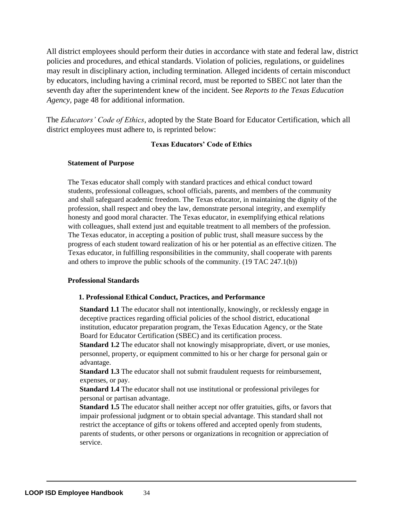All district employees should perform their duties in accordance with state and federal law, district policies and procedures, and ethical standards. Violation of policies, regulations, or guidelines may result in disciplinary action, including termination. Alleged incidents of certain misconduct by educators, including having a criminal record, must be reported to SBEC not later than the seventh day after the superintendent knew of the incident. See *Reports to the Texas Education Agency,* page 48 for additional information.

The *Educators' Code of Ethics*, adopted by the State Board for Educator Certification, which all district employees must adhere to, is reprinted below:

#### **Texas Educators' Code of Ethics**

#### **Statement of Purpose**

The Texas educator shall comply with standard practices and ethical conduct toward students, professional colleagues, school officials, parents, and members of the community and shall safeguard academic freedom. The Texas educator, in maintaining the dignity of the profession, shall respect and obey the law, demonstrate personal integrity, and exemplify honesty and good moral character. The Texas educator, in exemplifying ethical relations with colleagues, shall extend just and equitable treatment to all members of the profession. The Texas educator, in accepting a position of public trust, shall measure success by the progress of each student toward realization of his or her potential as an effective citizen. The Texas educator, in fulfilling responsibilities in the community, shall cooperate with parents and others to improve the public schools of the community. (19 TAC 247.1(b))

#### **Professional Standards**

#### **1. Professional Ethical Conduct, Practices, and Performance**

**Standard 1.1** The educator shall not intentionally, knowingly, or recklessly engage in deceptive practices regarding official policies of the school district, educational institution, educator preparation program, the Texas Education Agency, or the State Board for Educator Certification (SBEC) and its certification process.

**Standard 1.2** The educator shall not knowingly misappropriate, divert, or use monies, personnel, property, or equipment committed to his or her charge for personal gain or advantage.

**Standard 1.3** The educator shall not submit fraudulent requests for reimbursement, expenses, or pay.

**Standard 1.4** The educator shall not use institutional or professional privileges for personal or partisan advantage.

**Standard 1.5** The educator shall neither accept nor offer gratuities, gifts, or favors that impair professional judgment or to obtain special advantage. This standard shall not restrict the acceptance of gifts or tokens offered and accepted openly from students, parents of students, or other persons or organizations in recognition or appreciation of service.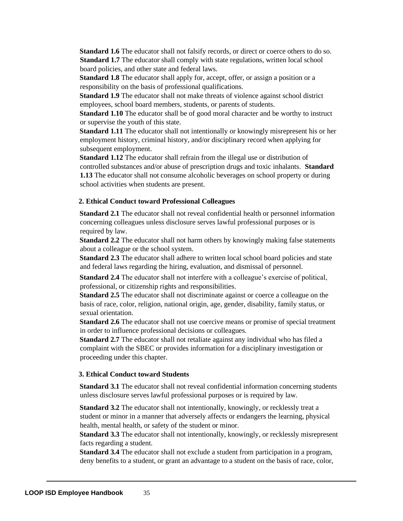**Standard 1.6** The educator shall not falsify records, or direct or coerce others to do so. **Standard 1.7** The educator shall comply with state regulations, written local school board policies, and other state and federal laws.

**Standard 1.8** The educator shall apply for, accept, offer, or assign a position or a responsibility on the basis of professional qualifications.

**Standard 1.9** The educator shall not make threats of violence against school district employees, school board members, students, or parents of students.

**Standard 1.10** The educator shall be of good moral character and be worthy to instruct or supervise the youth of this state.

**Standard 1.11** The educator shall not intentionally or knowingly misrepresent his or her employment history, criminal history, and/or disciplinary record when applying for subsequent employment.

**Standard 1.12** The educator shall refrain from the illegal use or distribution of controlled substances and/or abuse of prescription drugs and toxic inhalants. **Standard 1.13** The educator shall not consume alcoholic beverages on school property or during school activities when students are present.

#### **2. Ethical Conduct toward Professional Colleagues**

**Standard 2.1** The educator shall not reveal confidential health or personnel information concerning colleagues unless disclosure serves lawful professional purposes or is required by law.

**Standard 2.2** The educator shall not harm others by knowingly making false statements about a colleague or the school system.

**Standard 2.3** The educator shall adhere to written local school board policies and state and federal laws regarding the hiring, evaluation, and dismissal of personnel.

**Standard 2.4** The educator shall not interfere with a colleague's exercise of political, professional, or citizenship rights and responsibilities.

**Standard 2.5** The educator shall not discriminate against or coerce a colleague on the basis of race, color, religion, national origin, age, gender, disability, family status, or sexual orientation.

**Standard 2.6** The educator shall not use coercive means or promise of special treatment in order to influence professional decisions or colleagues.

**Standard 2.7** The educator shall not retaliate against any individual who has filed a complaint with the SBEC or provides information for a disciplinary investigation or proceeding under this chapter.

#### **3. Ethical Conduct toward Students**

**Standard 3.1** The educator shall not reveal confidential information concerning students unless disclosure serves lawful professional purposes or is required by law.

**Standard 3.2** The educator shall not intentionally, knowingly, or recklessly treat a student or minor in a manner that adversely affects or endangers the learning, physical health, mental health, or safety of the student or minor.

**Standard 3.3** The educator shall not intentionally, knowingly, or recklessly misrepresent facts regarding a student.

**Standard 3.4** The educator shall not exclude a student from participation in a program, deny benefits to a student, or grant an advantage to a student on the basis of race, color,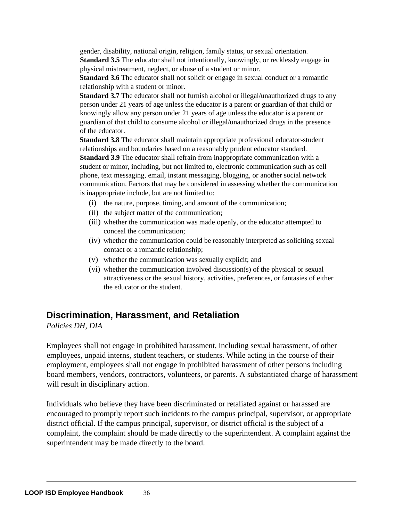gender, disability, national origin, religion, family status, or sexual orientation. **Standard 3.5** The educator shall not intentionally, knowingly, or recklessly engage in physical mistreatment, neglect, or abuse of a student or minor.

**Standard 3.6** The educator shall not solicit or engage in sexual conduct or a romantic relationship with a student or minor.

**Standard 3.7** The educator shall not furnish alcohol or illegal/unauthorized drugs to any person under 21 years of age unless the educator is a parent or guardian of that child or knowingly allow any person under 21 years of age unless the educator is a parent or guardian of that child to consume alcohol or illegal/unauthorized drugs in the presence of the educator.

**Standard 3.8** The educator shall maintain appropriate professional educator-student relationships and boundaries based on a reasonably prudent educator standard. **Standard 3.9** The educator shall refrain from inappropriate communication with a student or minor, including, but not limited to, electronic communication such as cell phone, text messaging, email, instant messaging, blogging, or another social network communication. Factors that may be considered in assessing whether the communication is inappropriate include, but are not limited to:

- (i) the nature, purpose, timing, and amount of the communication;
- (ii) the subject matter of the communication;
- (iii) whether the communication was made openly, or the educator attempted to conceal the communication;
- (iv) whether the communication could be reasonably interpreted as soliciting sexual contact or a romantic relationship;
- (v) whether the communication was sexually explicit; and
- (vi) whether the communication involved discussion(s) of the physical or sexual attractiveness or the sexual history, activities, preferences, or fantasies of either the educator or the student.

#### <span id="page-35-0"></span>**Discrimination, Harassment, and Retaliation**

*Policies DH, DIA* 

Employees shall not engage in prohibited harassment, including sexual harassment, of other employees, unpaid interns, student teachers, or students. While acting in the course of their employment, employees shall not engage in prohibited harassment of other persons including board members, vendors, contractors, volunteers, or parents. A substantiated charge of harassment will result in disciplinary action.

Individuals who believe they have been discriminated or retaliated against or harassed are encouraged to promptly report such incidents to the campus principal, supervisor, or appropriate district official. If the campus principal, supervisor, or district official is the subject of a complaint, the complaint should be made directly to the superintendent. A complaint against the superintendent may be made directly to the board.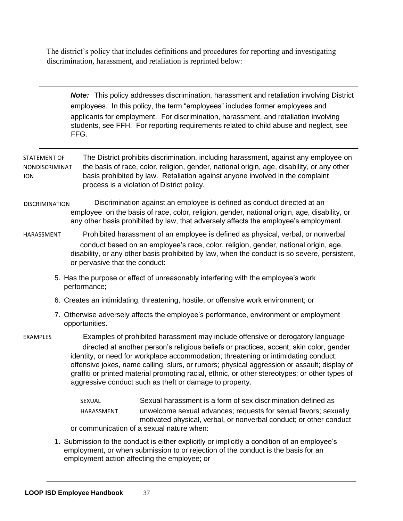The district's policy that includes definitions and procedures for reporting and investigating discrimination, harassment, and retaliation is reprinted below:

*Note:* This policy addresses discrimination, harassment and retaliation involving District employees. In this policy, the term "employees" includes former employees and applicants for employment. For discrimination, harassment, and retaliation involving students, see FFH. For reporting requirements related to child abuse and neglect, see FFG.

STATEMENT OF The District prohibits discrimination, including harassment, against any employee on NONDISCRIMINAT the basis of race, color, religion, gender, national origin, age, disability, or any other ION basis prohibited by law. Retaliation against anyone involved in the complaint process is a violation of District policy.

- DISCRIMINATION Discrimination against an employee is defined as conduct directed at an employee on the basis of race, color, religion, gender, national origin, age, disability, or any other basis prohibited by law, that adversely affects the employee's employment.
- HARASSMENT Prohibited harassment of an employee is defined as physical, verbal, or nonverbal conduct based on an employee's race, color, religion, gender, national origin, age, disability, or any other basis prohibited by law, when the conduct is so severe, persistent, or pervasive that the conduct:
	- 5. Has the purpose or effect of unreasonably interfering with the employee's work performance;
	- 6. Creates an intimidating, threatening, hostile, or offensive work environment; or
	- 7. Otherwise adversely affects the employee's performance, environment or employment opportunities.
- EXAMPLES Examples of prohibited harassment may include offensive or derogatory language directed at another person's religious beliefs or practices, accent, skin color, gender identity, or need for workplace accommodation; threatening or intimidating conduct; offensive jokes, name calling, slurs, or rumors; physical aggression or assault; display of graffiti or printed material promoting racial, ethnic, or other stereotypes; or other types of aggressive conduct such as theft or damage to property.

SEXUAL Sexual harassment is a form of sex discrimination defined as HARASSMENT unwelcome sexual advances; requests for sexual favors; sexually motivated physical, verbal, or nonverbal conduct; or other conduct or communication of a sexual nature when:

1. Submission to the conduct is either explicitly or implicitly a condition of an employee's employment, or when submission to or rejection of the conduct is the basis for an employment action affecting the employee; or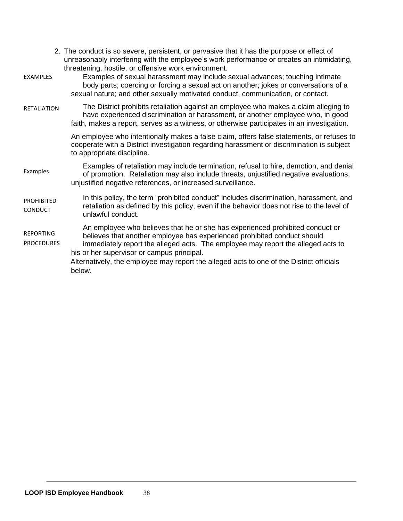| <b>EXAMPLES</b>                       | 2. The conduct is so severe, persistent, or pervasive that it has the purpose or effect of<br>unreasonably interfering with the employee's work performance or creates an intimidating,<br>threatening, hostile, or offensive work environment.<br>Examples of sexual harassment may include sexual advances; touching intimate<br>body parts; coercing or forcing a sexual act on another; jokes or conversations of a<br>sexual nature; and other sexually motivated conduct, communication, or contact. |  |
|---------------------------------------|------------------------------------------------------------------------------------------------------------------------------------------------------------------------------------------------------------------------------------------------------------------------------------------------------------------------------------------------------------------------------------------------------------------------------------------------------------------------------------------------------------|--|
| <b>RETALIATION</b>                    | The District prohibits retaliation against an employee who makes a claim alleging to<br>have experienced discrimination or harassment, or another employee who, in good<br>faith, makes a report, serves as a witness, or otherwise participates in an investigation.                                                                                                                                                                                                                                      |  |
|                                       | An employee who intentionally makes a false claim, offers false statements, or refuses to<br>cooperate with a District investigation regarding harassment or discrimination is subject<br>to appropriate discipline.                                                                                                                                                                                                                                                                                       |  |
| Examples                              | Examples of retaliation may include termination, refusal to hire, demotion, and denial<br>of promotion. Retaliation may also include threats, unjustified negative evaluations,<br>unjustified negative references, or increased surveillance.                                                                                                                                                                                                                                                             |  |
| <b>PROHIBITED</b><br><b>CONDUCT</b>   | In this policy, the term "prohibited conduct" includes discrimination, harassment, and<br>retaliation as defined by this policy, even if the behavior does not rise to the level of<br>unlawful conduct.                                                                                                                                                                                                                                                                                                   |  |
| <b>REPORTING</b><br><b>PROCEDURES</b> | An employee who believes that he or she has experienced prohibited conduct or<br>believes that another employee has experienced prohibited conduct should<br>immediately report the alleged acts. The employee may report the alleged acts to<br>his or her supervisor or campus principal.<br>Alternatively, the employee may report the alleged acts to one of the District officials<br>below.                                                                                                          |  |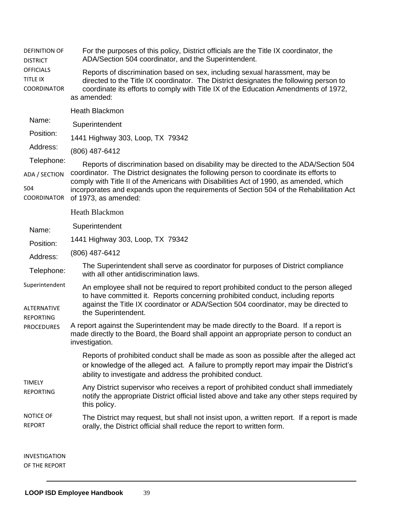| <b>DEFINITION OF</b><br><b>DISTRICT</b>                   | For the purposes of this policy, District officials are the Title IX coordinator, the<br>ADA/Section 504 coordinator, and the Superintendent.                                                                                                                                                       |  |
|-----------------------------------------------------------|-----------------------------------------------------------------------------------------------------------------------------------------------------------------------------------------------------------------------------------------------------------------------------------------------------|--|
| <b>OFFICIALS</b><br><b>TITLE IX</b><br><b>COORDINATOR</b> | Reports of discrimination based on sex, including sexual harassment, may be<br>directed to the Title IX coordinator. The District designates the following person to<br>coordinate its efforts to comply with Title IX of the Education Amendments of 1972,<br>as amended:                          |  |
|                                                           | Heath Blackmon                                                                                                                                                                                                                                                                                      |  |
| Name:                                                     | Superintendent                                                                                                                                                                                                                                                                                      |  |
| Position:                                                 | 1441 Highway 303, Loop, TX 79342                                                                                                                                                                                                                                                                    |  |
| Address:                                                  | (806) 487-6412                                                                                                                                                                                                                                                                                      |  |
| Telephone:                                                | Reports of discrimination based on disability may be directed to the ADA/Section 504                                                                                                                                                                                                                |  |
| ADA / SECTION<br>504<br><b>COORDINATOR</b>                | coordinator. The District designates the following person to coordinate its efforts to<br>comply with Title II of the Americans with Disabilities Act of 1990, as amended, which<br>incorporates and expands upon the requirements of Section 504 of the Rehabilitation Act<br>of 1973, as amended: |  |
|                                                           | <b>Heath Blackmon</b>                                                                                                                                                                                                                                                                               |  |
| Name:                                                     | Superintendent                                                                                                                                                                                                                                                                                      |  |
| Position:                                                 | 1441 Highway 303, Loop, TX 79342                                                                                                                                                                                                                                                                    |  |
| Address:                                                  | (806) 487-6412                                                                                                                                                                                                                                                                                      |  |
| Telephone:                                                | The Superintendent shall serve as coordinator for purposes of District compliance<br>with all other antidiscrimination laws.                                                                                                                                                                        |  |
| Superintendent<br><b>ALTERNATIVE</b><br><b>REPORTING</b>  | An employee shall not be required to report prohibited conduct to the person alleged<br>to have committed it. Reports concerning prohibited conduct, including reports<br>against the Title IX coordinator or ADA/Section 504 coordinator, may be directed to<br>the Superintendent.                |  |
| <b>PROCEDURES</b>                                         | A report against the Superintendent may be made directly to the Board. If a report is<br>made directly to the Board, the Board shall appoint an appropriate person to conduct an<br>investigation.                                                                                                  |  |
| <b>TIMELY</b><br><b>REPORTING</b>                         | Reports of prohibited conduct shall be made as soon as possible after the alleged act<br>or knowledge of the alleged act. A failure to promptly report may impair the District's<br>ability to investigate and address the prohibited conduct.                                                      |  |
|                                                           | Any District supervisor who receives a report of prohibited conduct shall immediately<br>notify the appropriate District official listed above and take any other steps required by<br>this policy.                                                                                                 |  |
| <b>NOTICE OF</b><br><b>REPORT</b>                         | The District may request, but shall not insist upon, a written report. If a report is made<br>orally, the District official shall reduce the report to written form.                                                                                                                                |  |
|                                                           |                                                                                                                                                                                                                                                                                                     |  |

INVESTIGATION OF THE REPORT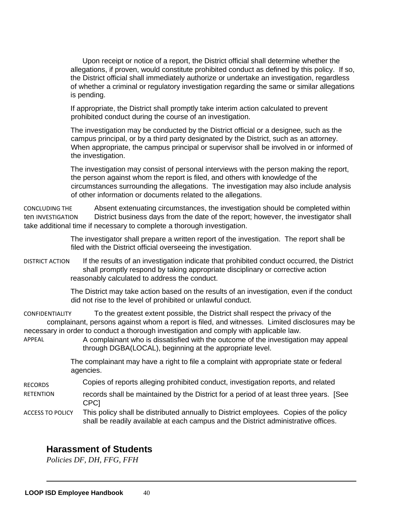Upon receipt or notice of a report, the District official shall determine whether the allegations, if proven, would constitute prohibited conduct as defined by this policy. If so, the District official shall immediately authorize or undertake an investigation, regardless of whether a criminal or regulatory investigation regarding the same or similar allegations is pending.

If appropriate, the District shall promptly take interim action calculated to prevent prohibited conduct during the course of an investigation.

The investigation may be conducted by the District official or a designee, such as the campus principal, or by a third party designated by the District, such as an attorney. When appropriate, the campus principal or supervisor shall be involved in or informed of the investigation.

The investigation may consist of personal interviews with the person making the report, the person against whom the report is filed, and others with knowledge of the circumstances surrounding the allegations. The investigation may also include analysis of other information or documents related to the allegations.

CONCLUDING THE Absent extenuating circumstances, the investigation should be completed within ten INVESTIGATION District business days from the date of the report; however, the investigator shall take additional time if necessary to complete a thorough investigation.

> The investigator shall prepare a written report of the investigation. The report shall be filed with the District official overseeing the investigation.

DISTRICT ACTION If the results of an investigation indicate that prohibited conduct occurred, the District shall promptly respond by taking appropriate disciplinary or corrective action reasonably calculated to address the conduct.

> The District may take action based on the results of an investigation, even if the conduct did not rise to the level of prohibited or unlawful conduct.

CONFIDENTIALITY To the greatest extent possible, the District shall respect the privacy of the complainant, persons against whom a report is filed, and witnesses. Limited disclosures may be necessary in order to conduct a thorough investigation and comply with applicable law.

APPEAL A complainant who is dissatisfied with the outcome of the investigation may appeal through DGBA(LOCAL), beginning at the appropriate level.

> The complainant may have a right to file a complaint with appropriate state or federal agencies.

- RECORDS Copies of reports alleging prohibited conduct, investigation reports, and related
- RETENTION records shall be maintained by the District for a period of at least three years. [See CPC]
- ACCESS TO POLICY This policy shall be distributed annually to District employees. Copies of the policy shall be readily available at each campus and the District administrative offices.

#### **Harassment of Students**

*Policies DF, DH, FFG, FFH*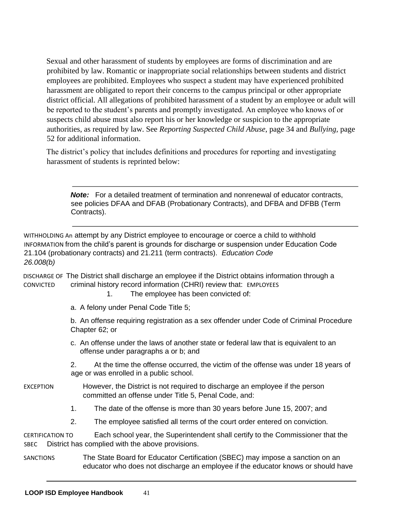Sexual and other harassment of students by employees are forms of discrimination and are prohibited by law. Romantic or inappropriate social relationships between students and district employees are prohibited. Employees who suspect a student may have experienced prohibited harassment are obligated to report their concerns to the campus principal or other appropriate district official. All allegations of prohibited harassment of a student by an employee or adult will be reported to the student's parents and promptly investigated. An employee who knows of or suspects child abuse must also report his or her knowledge or suspicion to the appropriate authorities, as required by law. See *Reporting Suspected Child Abuse*, page 34 and *Bullying,* page 52 for additional information.

The district's policy that includes definitions and procedures for reporting and investigating harassment of students is reprinted below:

*Note:* For a detailed treatment of termination and nonrenewal of educator contracts, see policies DFAA and DFAB (Probationary Contracts), and DFBA and DFBB (Term Contracts).

WITHHOLDING An attempt by any District employee to encourage or coerce a child to withhold INFORMATION from the child's parent is grounds for discharge or suspension under Education Code 21.104 (probationary contracts) and 21.211 (term contracts). *Education Code 26.008(b)*

DISCHARGE OF The District shall discharge an employee if the District obtains information through a CONVICTED criminal history record information (CHRI) review that: EMPLOYEES

1. The employee has been convicted of:

a. A felony under Penal Code Title 5;

b. An offense requiring registration as a sex offender under Code of Criminal Procedure Chapter 62; or

c. An offense under the laws of another state or federal law that is equivalent to an offense under paragraphs a or b; and

2. At the time the offense occurred, the victim of the offense was under 18 years of age or was enrolled in a public school.

- EXCEPTION However, the District is not required to discharge an employee if the person committed an offense under Title 5, Penal Code, and:
	- 1. The date of the offense is more than 30 years before June 15, 2007; and
	- 2. The employee satisfied all terms of the court order entered on conviction.

CERTIFICATION TO Each school year, the Superintendent shall certify to the Commissioner that the SBEC District has complied with the above provisions.

SANCTIONS The State Board for Educator Certification (SBEC) may impose a sanction on an educator who does not discharge an employee if the educator knows or should have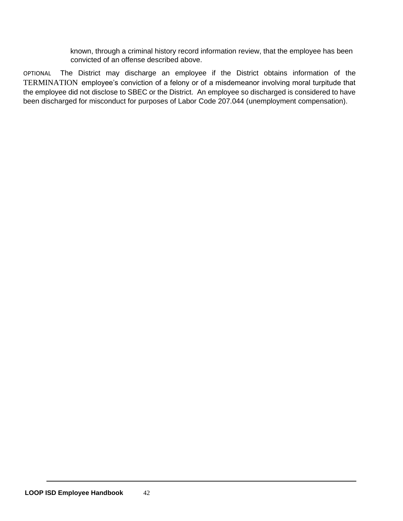known, through a criminal history record information review, that the employee has been convicted of an offense described above.

OPTIONAL The District may discharge an employee if the District obtains information of the TERMINATION employee's conviction of a felony or of a misdemeanor involving moral turpitude that the employee did not disclose to SBEC or the District. An employee so discharged is considered to have been discharged for misconduct for purposes of Labor Code 207.044 (unemployment compensation).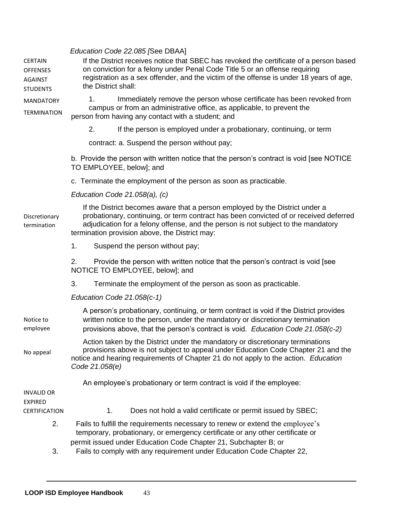#### *Education Code 22.085 [*See DBAA]

| CERTAIN         | If the District receives notice that SBEC has revoked the certificate of a person based |
|-----------------|-----------------------------------------------------------------------------------------|
| <b>OFFENSES</b> | on conviction for a felony under Penal Code Title 5 or an offense requiring             |
| <b>AGAINST</b>  | registration as a sex offender, and the victim of the offense is under 18 years of age, |
| STUDENTS        | the District shall:                                                                     |

MANDATORY TERMINATION 1. Immediately remove the person whose certificate has been revoked from campus or from an administrative office, as applicable, to prevent the person from having any contact with a student; and

2. If the person is employed under a probationary, continuing, or term

contract: a. Suspend the person without pay;

b. Provide the person with written notice that the person's contract is void [see NOTICE TO EMPLOYEE, below]; and

c. Terminate the employment of the person as soon as practicable.

*Education Code 21.058(a), (c)* 

Discretionary termination If the District becomes aware that a person employed by the District under a probationary, continuing, or term contract has been convicted of or received deferred adjudication for a felony offense, and the person is not subject to the mandatory termination provision above, the District may:

1. Suspend the person without pay;

2. Provide the person with written notice that the person's contract is void [see NOTICE TO EMPLOYEE, below]; and

- 3. Terminate the employment of the person as soon as practicable.
- *Education Code 21.058(c-1)*

| Notice to<br>employee               | A person's probationary, continuing, or term contract is void if the District provides<br>written notice to the person, under the mandatory or discretionary termination<br>provisions above, that the person's contract is void. Education Code 21.058(c-2)                 |  |
|-------------------------------------|------------------------------------------------------------------------------------------------------------------------------------------------------------------------------------------------------------------------------------------------------------------------------|--|
| No appeal                           | Action taken by the District under the mandatory or discretionary terminations<br>provisions above is not subject to appeal under Education Code Chapter 21 and the<br>notice and hearing requirements of Chapter 21 do not apply to the action. Education<br>Code 21.058(e) |  |
|                                     | An employee's probationary or term contract is void if the employee:                                                                                                                                                                                                         |  |
| <b>INVALID OR</b><br><b>EXPIRED</b> |                                                                                                                                                                                                                                                                              |  |
| <b>CERTIFICATION</b>                | Does not hold a valid certificate or permit issued by SBEC;<br>1.                                                                                                                                                                                                            |  |
| 2.                                  | Fails to fulfill the requirements necessary to renew or extend the employee's<br>temporary, probationary, or emergency certificate or any other certificate or<br>permit issued under Education Code Chapter 21, Subchapter B; or                                            |  |
| 3.                                  | Fails to comply with any requirement under Education Code Chapter 22,                                                                                                                                                                                                        |  |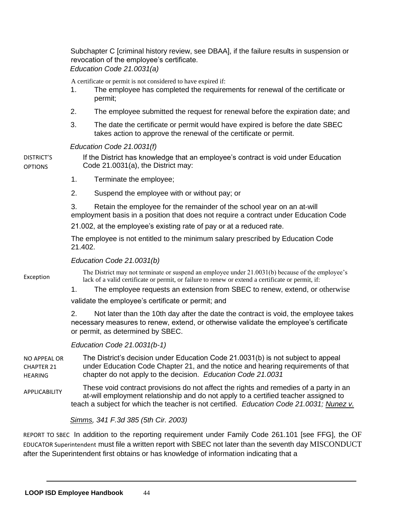Subchapter C [criminal history review, see DBAA], if the failure results in suspension or revocation of the employee's certificate.

*Education Code 21.0031(a)* 

A certificate or permit is not considered to have expired if:

- 1. The employee has completed the requirements for renewal of the certificate or permit;
- 2. The employee submitted the request for renewal before the expiration date; and
- 3. The date the certificate or permit would have expired is before the date SBEC takes action to approve the renewal of the certificate or permit.

#### *Education Code 21.0031(f)*

DISTRICT'S **OPTIONS** If the District has knowledge that an employee's contract is void under Education Code 21.0031(a), the District may:

- 1. Terminate the employee;
- 2. Suspend the employee with or without pay; or

3. Retain the employee for the remainder of the school year on an at-will employment basis in a position that does not require a contract under Education Code

21.002, at the employee's existing rate of pay or at a reduced rate.

The employee is not entitled to the minimum salary prescribed by Education Code 21.402.

#### *Education Code 21.0031(b)*

Exception

The District may not terminate or suspend an employee under 21.0031(b) because of the employee's lack of a valid certificate or permit, or failure to renew or extend a certificate or permit, if:

1. The employee requests an extension from SBEC to renew, extend, or otherwise

validate the employee's certificate or permit; and

2. Not later than the 10th day after the date the contract is void, the employee takes necessary measures to renew, extend, or otherwise validate the employee's certificate or permit, as determined by SBEC.

*Education Code 21.0031(b-1)* 

The District's decision under Education Code 21.0031(b) is not subject to appeal under Education Code Chapter 21, and the notice and hearing requirements of that chapter do not apply to the decision. *Education Code 21.0031* NO APPEAL OR CHAPTER 21 HEARING

These void contract provisions do not affect the rights and remedies of a party in an at-will employment relationship and do not apply to a certified teacher assigned to teach a subject for which the teacher is not certified. *Education Code 21.0031; Nunez v.* APPLICABILITY

*Simms, 341 F.3d 385 (5th Cir. 2003)*

REPORT TO SBEC In addition to the reporting requirement under Family Code 261.101 [see FFG], the OF EDUCATOR Superintendent must file a written report with SBEC not later than the seventh day MISCONDUCT after the Superintendent first obtains or has knowledge of information indicating that a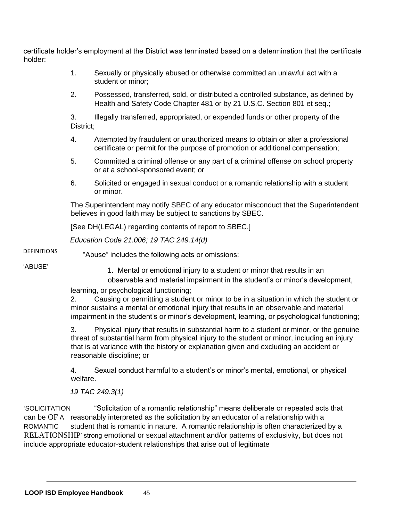certificate holder's employment at the District was terminated based on a determination that the certificate holder:

- 1. Sexually or physically abused or otherwise committed an unlawful act with a student or minor;
- 2. Possessed, transferred, sold, or distributed a controlled substance, as defined by Health and Safety Code Chapter 481 or by 21 U.S.C. Section 801 et seq.;

3. Illegally transferred, appropriated, or expended funds or other property of the District;

- 4. Attempted by fraudulent or unauthorized means to obtain or alter a professional certificate or permit for the purpose of promotion or additional compensation;
- 5. Committed a criminal offense or any part of a criminal offense on school property or at a school-sponsored event; or
- 6. Solicited or engaged in sexual conduct or a romantic relationship with a student or minor.

The Superintendent may notify SBEC of any educator misconduct that the Superintendent believes in good faith may be subject to sanctions by SBEC.

[See DH(LEGAL) regarding contents of report to SBEC.]

*Education Code 21.006; 19 TAC 249.14(d)* 

#### DEFINITIONS "Abuse" includes the following acts or omissions:

'ABUSE' 1. Mental or emotional injury to a student or minor that results in an observable and material impairment in the student's or minor's development,

learning, or psychological functioning;

2. Causing or permitting a student or minor to be in a situation in which the student or minor sustains a mental or emotional injury that results in an observable and material impairment in the student's or minor's development, learning, or psychological functioning;

3. Physical injury that results in substantial harm to a student or minor, or the genuine threat of substantial harm from physical injury to the student or minor, including an injury that is at variance with the history or explanation given and excluding an accident or reasonable discipline; or

4. Sexual conduct harmful to a student's or minor's mental, emotional, or physical welfare.

*19 TAC 249.3(1)* 

'SOLICITATION "Solicitation of a romantic relationship" means deliberate or repeated acts that can be OF A reasonably interpreted as the solicitation by an educator of a relationship with a ROMANTIC student that is romantic in nature. A romantic relationship is often characterized by a RELATIONSHIP' strong emotional or sexual attachment and/or patterns of exclusivity, but does not include appropriate educator-student relationships that arise out of legitimate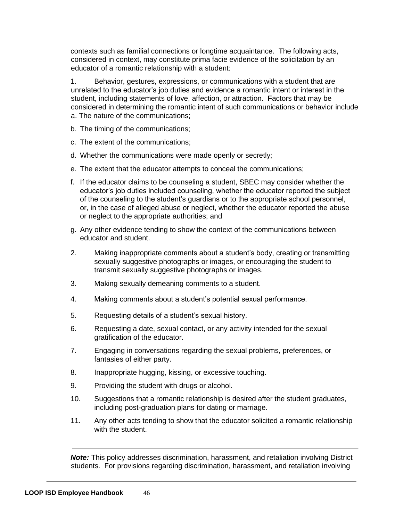contexts such as familial connections or longtime acquaintance. The following acts, considered in context, may constitute prima facie evidence of the solicitation by an educator of a romantic relationship with a student:

1. Behavior, gestures, expressions, or communications with a student that are unrelated to the educator's job duties and evidence a romantic intent or interest in the student, including statements of love, affection, or attraction. Factors that may be considered in determining the romantic intent of such communications or behavior include a. The nature of the communications;

- b. The timing of the communications;
- c. The extent of the communications;
- d. Whether the communications were made openly or secretly;
- e. The extent that the educator attempts to conceal the communications;
- f. If the educator claims to be counseling a student, SBEC may consider whether the educator's job duties included counseling, whether the educator reported the subject of the counseling to the student's guardians or to the appropriate school personnel, or, in the case of alleged abuse or neglect, whether the educator reported the abuse or neglect to the appropriate authorities; and
- g. Any other evidence tending to show the context of the communications between educator and student.
- 2. Making inappropriate comments about a student's body, creating or transmitting sexually suggestive photographs or images, or encouraging the student to transmit sexually suggestive photographs or images.
- 3. Making sexually demeaning comments to a student.
- 4. Making comments about a student's potential sexual performance.
- 5. Requesting details of a student's sexual history.
- 6. Requesting a date, sexual contact, or any activity intended for the sexual gratification of the educator.
- 7. Engaging in conversations regarding the sexual problems, preferences, or fantasies of either party.
- 8. Inappropriate hugging, kissing, or excessive touching.
- 9. Providing the student with drugs or alcohol.
- 10. Suggestions that a romantic relationship is desired after the student graduates, including post-graduation plans for dating or marriage.
- 11. Any other acts tending to show that the educator solicited a romantic relationship with the student.

*Note:* This policy addresses discrimination, harassment, and retaliation involving District students. For provisions regarding discrimination, harassment, and retaliation involving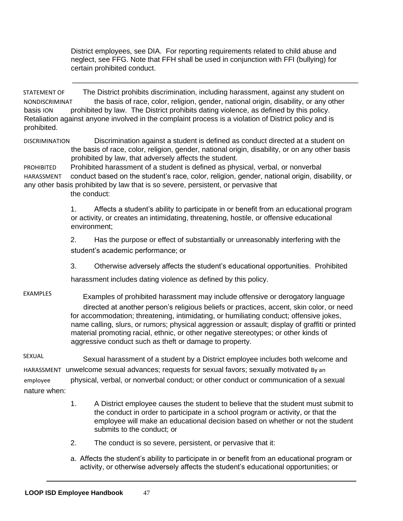District employees, see DIA. For reporting requirements related to child abuse and neglect, see FFG. Note that FFH shall be used in conjunction with FFI (bullying) for certain prohibited conduct.

STATEMENT OF The District prohibits discrimination, including harassment, against any student on NONDISCRIMINAT the basis of race, color, religion, gender, national origin, disability, or any other basis ION prohibited by law. The District prohibits dating violence, as defined by this policy. Retaliation against anyone involved in the complaint process is a violation of District policy and is prohibited.

DISCRIMINATION Discrimination against a student is defined as conduct directed at a student on the basis of race, color, religion, gender, national origin, disability, or on any other basis prohibited by law, that adversely affects the student.

PROHIBITED Prohibited harassment of a student is defined as physical, verbal, or nonverbal HARASSMENT conduct based on the student's race, color, religion, gender, national origin, disability, or any other basis prohibited by law that is so severe, persistent, or pervasive that

the conduct:

1. Affects a student's ability to participate in or benefit from an educational program or activity, or creates an intimidating, threatening, hostile, or offensive educational environment;

2. Has the purpose or effect of substantially or unreasonably interfering with the student's academic performance; or

3. Otherwise adversely affects the student's educational opportunities. Prohibited

harassment includes dating violence as defined by this policy.

EXAMPLES Examples of prohibited harassment may include offensive or derogatory language directed at another person's religious beliefs or practices, accent, skin color, or need for accommodation; threatening, intimidating, or humiliating conduct; offensive jokes, name calling, slurs, or rumors; physical aggression or assault; display of graffiti or printed material promoting racial, ethnic, or other negative stereotypes; or other kinds of aggressive conduct such as theft or damage to property.

SEXUAL Sexual harassment of a student by a District employee includes both welcome and HARASSMENT unwelcome sexual advances; requests for sexual favors; sexually motivated By an employee physical, verbal, or nonverbal conduct; or other conduct or communication of a sexual nature when:

- 1. A District employee causes the student to believe that the student must submit to the conduct in order to participate in a school program or activity, or that the employee will make an educational decision based on whether or not the student submits to the conduct; or
- 2. The conduct is so severe, persistent, or pervasive that it:
- a. Affects the student's ability to participate in or benefit from an educational program or activity, or otherwise adversely affects the student's educational opportunities; or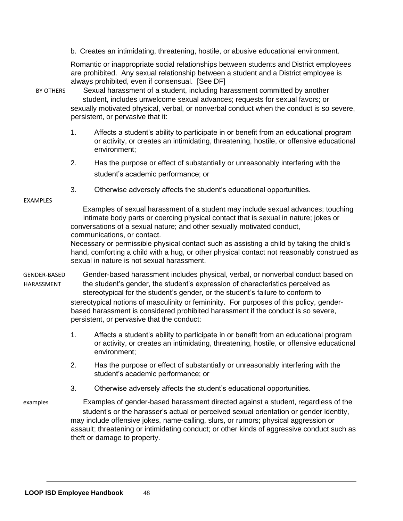b. Creates an intimidating, threatening, hostile, or abusive educational environment.

Romantic or inappropriate social relationships between students and District employees are prohibited. Any sexual relationship between a student and a District employee is always prohibited, even if consensual. [See DF]

- BY OTHERS Sexual harassment of a student, including harassment committed by another student, includes unwelcome sexual advances; requests for sexual favors; or sexually motivated physical, verbal, or nonverbal conduct when the conduct is so severe, persistent, or pervasive that it:
	- 1. Affects a student's ability to participate in or benefit from an educational program or activity, or creates an intimidating, threatening, hostile, or offensive educational environment;
	- 2. Has the purpose or effect of substantially or unreasonably interfering with the student's academic performance; or
	- 3. Otherwise adversely affects the student's educational opportunities.

#### EXAMPLES

Examples of sexual harassment of a student may include sexual advances; touching intimate body parts or coercing physical contact that is sexual in nature; jokes or conversations of a sexual nature; and other sexually motivated conduct, communications, or contact.

Necessary or permissible physical contact such as assisting a child by taking the child's hand, comforting a child with a hug, or other physical contact not reasonably construed as sexual in nature is not sexual harassment.

- GENDER-BASED Gender-based harassment includes physical, verbal, or nonverbal conduct based on HARASSMENT the student's gender, the student's expression of characteristics perceived as stereotypical for the student's gender, or the student's failure to conform to stereotypical notions of masculinity or femininity. For purposes of this policy, genderbased harassment is considered prohibited harassment if the conduct is so severe, persistent, or pervasive that the conduct:
	- 1. Affects a student's ability to participate in or benefit from an educational program or activity, or creates an intimidating, threatening, hostile, or offensive educational environment;
	- 2. Has the purpose or effect of substantially or unreasonably interfering with the student's academic performance; or
	- 3. Otherwise adversely affects the student's educational opportunities.
- examples Examples of gender-based harassment directed against a student, regardless of the student's or the harasser's actual or perceived sexual orientation or gender identity, may include offensive jokes, name-calling, slurs, or rumors; physical aggression or assault; threatening or intimidating conduct; or other kinds of aggressive conduct such as theft or damage to property.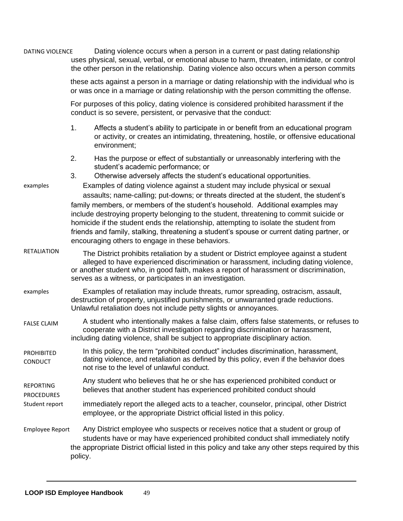DATING VIOLENCE Dating violence occurs when a person in a current or past dating relationship uses physical, sexual, verbal, or emotional abuse to harm, threaten, intimidate, or control the other person in the relationship. Dating violence also occurs when a person commits these acts against a person in a marriage or dating relationship with the individual who is or was once in a marriage or dating relationship with the person committing the offense. For purposes of this policy, dating violence is considered prohibited harassment if the conduct is so severe, persistent, or pervasive that the conduct: 1. Affects a student's ability to participate in or benefit from an educational program or activity, or creates an intimidating, threatening, hostile, or offensive educational environment; 2. Has the purpose or effect of substantially or unreasonably interfering with the student's academic performance; or 3. Otherwise adversely affects the student's educational opportunities. examples Examples of dating violence against a student may include physical or sexual assaults; name-calling; put-downs; or threats directed at the student, the student's

family members, or members of the student's household. Additional examples may include destroying property belonging to the student, threatening to commit suicide or homicide if the student ends the relationship, attempting to isolate the student from friends and family, stalking, threatening a student's spouse or current dating partner, or encouraging others to engage in these behaviors.

- RETALIATION The District prohibits retaliation by a student or District employee against a student alleged to have experienced discrimination or harassment, including dating violence, or another student who, in good faith, makes a report of harassment or discrimination, serves as a witness, or participates in an investigation.
- examples Examples of retaliation may include threats, rumor spreading, ostracism, assault, destruction of property, unjustified punishments, or unwarranted grade reductions. Unlawful retaliation does not include petty slights or annoyances.
- FALSE CLAIM A student who intentionally makes a false claim, offers false statements, or refuses to cooperate with a District investigation regarding discrimination or harassment, including dating violence, shall be subject to appropriate disciplinary action.
- **PROHIBITED** CONDUCT In this policy, the term "prohibited conduct" includes discrimination, harassment, dating violence, and retaliation as defined by this policy, even if the behavior does not rise to the level of unlawful conduct.
- REPORTING **PROCEDURES** Any student who believes that he or she has experienced prohibited conduct or believes that another student has experienced prohibited conduct should
- Student report immediately report the alleged acts to a teacher, counselor, principal, other District employee, or the appropriate District official listed in this policy.
- Employee Report Any District employee who suspects or receives notice that a student or group of students have or may have experienced prohibited conduct shall immediately notify the appropriate District official listed in this policy and take any other steps required by this policy.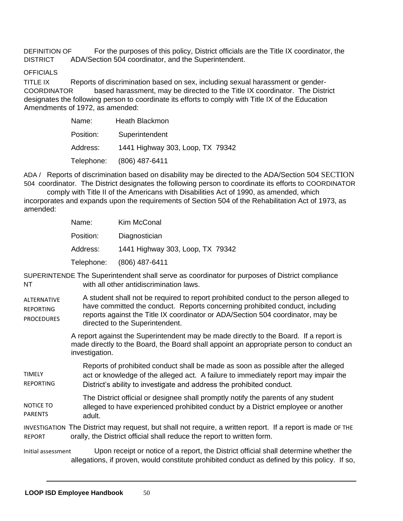DEFINITION OF For the purposes of this policy, District officials are the Title IX coordinator, the DISTRICT ADA/Section 504 coordinator, and the Superintendent.

#### **OFFICIALS**

TITLE IX Reports of discrimination based on sex, including sexual harassment or gender-COORDINATOR based harassment, may be directed to the Title IX coordinator. The District designates the following person to coordinate its efforts to comply with Title IX of the Education Amendments of 1972, as amended:

| Name:      | Heath Blackmon                   |
|------------|----------------------------------|
| Position:  | Superintendent                   |
| Address:   | 1441 Highway 303, Loop, TX 79342 |
| Telephone: | (806) 487-6411                   |

ADA / Reports of discrimination based on disability may be directed to the ADA/Section 504 SECTION 504 coordinator. The District designates the following person to coordinate its efforts to COORDINATOR

comply with Title II of the Americans with Disabilities Act of 1990, as amended, which incorporates and expands upon the requirements of Section 504 of the Rehabilitation Act of 1973, as amended:

| Name:     | Kim McConal                      |
|-----------|----------------------------------|
| Position: | Diagnostician                    |
| Address:  | 1441 Highway 303, Loop, TX 79342 |
|           | Telephone: (806) 487-6411        |

SUPERINTENDE The Superintendent shall serve as coordinator for purposes of District compliance NT with all other antidiscrimination laws.

**ALTERNATIVE** REPORTING **PROCEDURES** A student shall not be required to report prohibited conduct to the person alleged to have committed the conduct. Reports concerning prohibited conduct, including reports against the Title IX coordinator or ADA/Section 504 coordinator, may be directed to the Superintendent.

> A report against the Superintendent may be made directly to the Board. If a report is made directly to the Board, the Board shall appoint an appropriate person to conduct an investigation.

TIMELY REPORTING Reports of prohibited conduct shall be made as soon as possible after the alleged act or knowledge of the alleged act. A failure to immediately report may impair the District's ability to investigate and address the prohibited conduct.

NOTICE TO PARENTS The District official or designee shall promptly notify the parents of any student alleged to have experienced prohibited conduct by a District employee or another adult.

INVESTIGATION The District may request, but shall not require, a written report. If a report is made OF THE REPORT orally, the District official shall reduce the report to written form.

Initial assessment Upon receipt or notice of a report, the District official shall determine whether the allegations, if proven, would constitute prohibited conduct as defined by this policy. If so,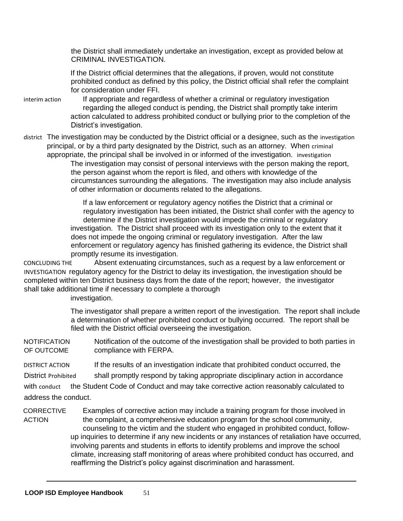the District shall immediately undertake an investigation, except as provided below at CRIMINAL INVESTIGATION.

If the District official determines that the allegations, if proven, would not constitute prohibited conduct as defined by this policy, the District official shall refer the complaint for consideration under FFI.

interim action If appropriate and regardless of whether a criminal or regulatory investigation regarding the alleged conduct is pending, the District shall promptly take interim action calculated to address prohibited conduct or bullying prior to the completion of the District's investigation.

district The investigation may be conducted by the District official or a designee, such as the investigation principal, or by a third party designated by the District, such as an attorney. When criminal appropriate, the principal shall be involved in or informed of the investigation. investigation The investigation may consist of personal interviews with the person making the report, the person against whom the report is filed, and others with knowledge of the circumstances surrounding the allegations. The investigation may also include analysis of other information or documents related to the allegations.

> If a law enforcement or regulatory agency notifies the District that a criminal or regulatory investigation has been initiated, the District shall confer with the agency to determine if the District investigation would impede the criminal or regulatory investigation. The District shall proceed with its investigation only to the extent that it does not impede the ongoing criminal or regulatory investigation. After the law enforcement or regulatory agency has finished gathering its evidence, the District shall promptly resume its investigation.

CONCLUDING THE Absent extenuating circumstances, such as a request by a law enforcement or INVESTIGATION regulatory agency for the District to delay its investigation, the investigation should be completed within ten District business days from the date of the report; however, the investigator shall take additional time if necessary to complete a thorough

investigation.

The investigator shall prepare a written report of the investigation. The report shall include a determination of whether prohibited conduct or bullying occurred. The report shall be filed with the District official overseeing the investigation.

NOTIFICATION Notification of the outcome of the investigation shall be provided to both parties in OF OUTCOME compliance with FERPA.

DISTRICT ACTION If the results of an investigation indicate that prohibited conduct occurred, the District Prohibited shall promptly respond by taking appropriate disciplinary action in accordance with conduct the Student Code of Conduct and may take corrective action reasonably calculated to address the conduct.

CORRECTIVE Examples of corrective action may include a training program for those involved in ACTION the complaint, a comprehensive education program for the school community, counseling to the victim and the student who engaged in prohibited conduct, followup inquiries to determine if any new incidents or any instances of retaliation have occurred, involving parents and students in efforts to identify problems and improve the school climate, increasing staff monitoring of areas where prohibited conduct has occurred, and reaffirming the District's policy against discrimination and harassment.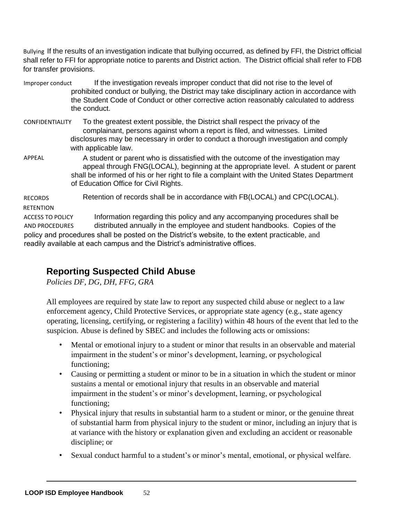Bullying If the results of an investigation indicate that bullying occurred, as defined by FFI, the District official shall refer to FFI for appropriate notice to parents and District action. The District official shall refer to FDB for transfer provisions.

- Improper conduct If the investigation reveals improper conduct that did not rise to the level of prohibited conduct or bullying, the District may take disciplinary action in accordance with the Student Code of Conduct or other corrective action reasonably calculated to address the conduct.
- CONFIDENTIALITY To the greatest extent possible, the District shall respect the privacy of the complainant, persons against whom a report is filed, and witnesses. Limited disclosures may be necessary in order to conduct a thorough investigation and comply with applicable law.
- APPEAL A student or parent who is dissatisfied with the outcome of the investigation may appeal through FNG(LOCAL), beginning at the appropriate level. A student or parent shall be informed of his or her right to file a complaint with the United States Department of Education Office for Civil Rights.

RECORDS **RETENTION** Retention of records shall be in accordance with FB(LOCAL) and CPC(LOCAL). ACCESS TO POLICY Information regarding this policy and any accompanying procedures shall be AND PROCEDURES distributed annually in the employee and student handbooks. Copies of the policy and procedures shall be posted on the District's website, to the extent practicable, and readily available at each campus and the District's administrative offices.

# **Reporting Suspected Child Abuse**

*Policies DF, DG, DH, FFG, GRA*

All employees are required by state law to report any suspected child abuse or neglect to a law enforcement agency, Child Protective Services, or appropriate state agency (e.g., state agency operating, licensing, certifying, or registering a facility) within 48 hours of the event that led to the suspicion. Abuse is defined by SBEC and includes the following acts or omissions:

- Mental or emotional injury to a student or minor that results in an observable and material impairment in the student's or minor's development, learning, or psychological functioning;
- Causing or permitting a student or minor to be in a situation in which the student or minor sustains a mental or emotional injury that results in an observable and material impairment in the student's or minor's development, learning, or psychological functioning;
- Physical injury that results in substantial harm to a student or minor, or the genuine threat of substantial harm from physical injury to the student or minor, including an injury that is at variance with the history or explanation given and excluding an accident or reasonable discipline; or
- Sexual conduct harmful to a student's or minor's mental, emotional, or physical welfare.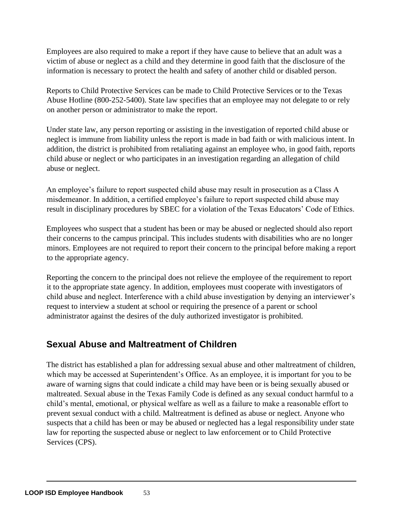Employees are also required to make a report if they have cause to believe that an adult was a victim of abuse or neglect as a child and they determine in good faith that the disclosure of the information is necessary to protect the health and safety of another child or disabled person.

Reports to Child Protective Services can be made to Child Protective Services or to the Texas Abuse Hotline (800-252-5400). State law specifies that an employee may not delegate to or rely on another person or administrator to make the report.

Under state law, any person reporting or assisting in the investigation of reported child abuse or neglect is immune from liability unless the report is made in bad faith or with malicious intent. In addition, the district is prohibited from retaliating against an employee who, in good faith, reports child abuse or neglect or who participates in an investigation regarding an allegation of child abuse or neglect.

An employee's failure to report suspected child abuse may result in prosecution as a Class A misdemeanor. In addition, a certified employee's failure to report suspected child abuse may result in disciplinary procedures by SBEC for a violation of the Texas Educators' Code of Ethics.

Employees who suspect that a student has been or may be abused or neglected should also report their concerns to the campus principal. This includes students with disabilities who are no longer minors. Employees are not required to report their concern to the principal before making a report to the appropriate agency.

Reporting the concern to the principal does not relieve the employee of the requirement to report it to the appropriate state agency. In addition, employees must cooperate with investigators of child abuse and neglect. Interference with a child abuse investigation by denying an interviewer's request to interview a student at school or requiring the presence of a parent or school administrator against the desires of the duly authorized investigator is prohibited.

# **Sexual Abuse and Maltreatment of Children**

The district has established a plan for addressing sexual abuse and other maltreatment of children, which may be accessed at Superintendent's Office. As an employee, it is important for you to be aware of warning signs that could indicate a child may have been or is being sexually abused or maltreated. Sexual abuse in the Texas Family Code is defined as any sexual conduct harmful to a child's mental, emotional, or physical welfare as well as a failure to make a reasonable effort to prevent sexual conduct with a child. Maltreatment is defined as abuse or neglect. Anyone who suspects that a child has been or may be abused or neglected has a legal responsibility under state law for reporting the suspected abuse or neglect to law enforcement or to Child Protective Services (CPS).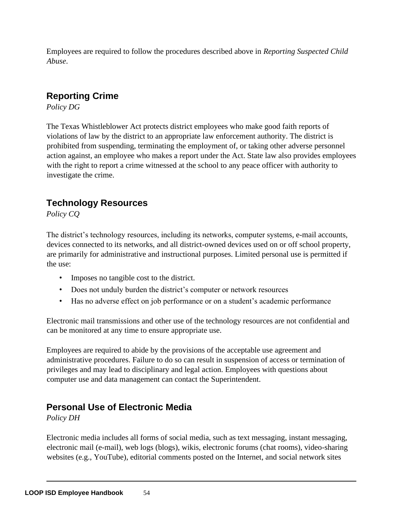Employees are required to follow the procedures described above in *Reporting Suspected Child Abuse*.

# **Reporting Crime**

*Policy DG* 

The Texas Whistleblower Act protects district employees who make good faith reports of violations of law by the district to an appropriate law enforcement authority. The district is prohibited from suspending, terminating the employment of, or taking other adverse personnel action against, an employee who makes a report under the Act. State law also provides employees with the right to report a crime witnessed at the school to any peace officer with authority to investigate the crime.

# **Technology Resources**

*Policy CQ* 

The district's technology resources, including its networks, computer systems, e-mail accounts, devices connected to its networks, and all district-owned devices used on or off school property, are primarily for administrative and instructional purposes. Limited personal use is permitted if the use:

- Imposes no tangible cost to the district.
- Does not unduly burden the district's computer or network resources
- Has no adverse effect on job performance or on a student's academic performance

Electronic mail transmissions and other use of the technology resources are not confidential and can be monitored at any time to ensure appropriate use.

Employees are required to abide by the provisions of the acceptable use agreement and administrative procedures. Failure to do so can result in suspension of access or termination of privileges and may lead to disciplinary and legal action. Employees with questions about computer use and data management can contact the Superintendent.

# **Personal Use of Electronic Media**

*Policy DH* 

Electronic media includes all forms of social media, such as text messaging, instant messaging, electronic mail (e-mail), web logs (blogs), wikis, electronic forums (chat rooms), video-sharing websites (e.g., YouTube), editorial comments posted on the Internet, and social network sites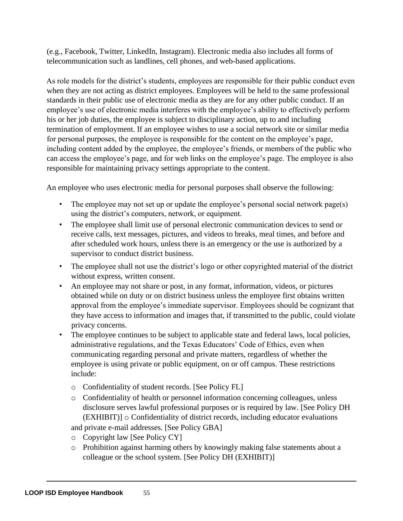(e.g., Facebook, Twitter, LinkedIn, Instagram). Electronic media also includes all forms of telecommunication such as landlines, cell phones, and web-based applications.

As role models for the district's students, employees are responsible for their public conduct even when they are not acting as district employees. Employees will be held to the same professional standards in their public use of electronic media as they are for any other public conduct. If an employee's use of electronic media interferes with the employee's ability to effectively perform his or her job duties, the employee is subject to disciplinary action, up to and including termination of employment. If an employee wishes to use a social network site or similar media for personal purposes, the employee is responsible for the content on the employee's page, including content added by the employee, the employee's friends, or members of the public who can access the employee's page, and for web links on the employee's page. The employee is also responsible for maintaining privacy settings appropriate to the content.

An employee who uses electronic media for personal purposes shall observe the following:

- The employee may not set up or update the employee's personal social network page(s) using the district's computers, network, or equipment.
- The employee shall limit use of personal electronic communication devices to send or receive calls, text messages, pictures, and videos to breaks, meal times, and before and after scheduled work hours, unless there is an emergency or the use is authorized by a supervisor to conduct district business.
- The employee shall not use the district's logo or other copyrighted material of the district without express, written consent.
- An employee may not share or post, in any format, information, videos, or pictures obtained while on duty or on district business unless the employee first obtains written approval from the employee's immediate supervisor. Employees should be cognizant that they have access to information and images that, if transmitted to the public, could violate privacy concerns.
- The employee continues to be subject to applicable state and federal laws, local policies, administrative regulations, and the Texas Educators' Code of Ethics, even when communicating regarding personal and private matters, regardless of whether the employee is using private or public equipment, on or off campus. These restrictions include:
	- o Confidentiality of student records. [See Policy FL]
	- o Confidentiality of health or personnel information concerning colleagues, unless disclosure serves lawful professional purposes or is required by law. [See Policy DH (EXHIBIT)] o Confidentiality of district records, including educator evaluations and private e-mail addresses. [See Policy GBA]
	- o Copyright law [See Policy CY]
	- o Prohibition against harming others by knowingly making false statements about a colleague or the school system. [See Policy DH (EXHIBIT)]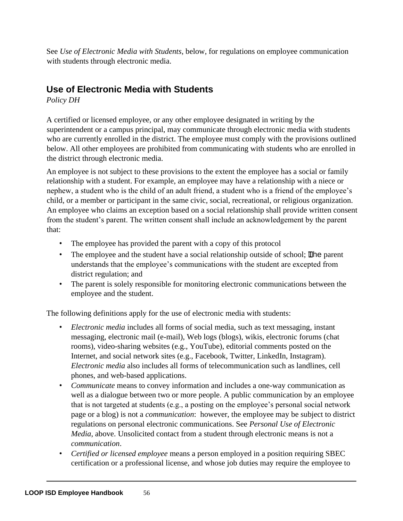See *Use of Electronic Media with Students*, below, for regulations on employee communication with students through electronic media.

# **Use of Electronic Media with Students**

*Policy DH* 

A certified or licensed employee, or any other employee designated in writing by the superintendent or a campus principal, may communicate through electronic media with students who are currently enrolled in the district. The employee must comply with the provisions outlined below. All other employees are prohibited from communicating with students who are enrolled in the district through electronic media.

An employee is not subject to these provisions to the extent the employee has a social or family relationship with a student. For example, an employee may have a relationship with a niece or nephew, a student who is the child of an adult friend, a student who is a friend of the employee's child, or a member or participant in the same civic, social, recreational, or religious organization. An employee who claims an exception based on a social relationship shall provide written consent from the student's parent. The written consent shall include an acknowledgement by the parent that:

- The employee has provided the parent with a copy of this protocol
- The employee and the student have a social relationship outside of school; The parent understands that the employee's communications with the student are excepted from district regulation; and
- The parent is solely responsible for monitoring electronic communications between the employee and the student.

The following definitions apply for the use of electronic media with students:

- *Electronic media* includes all forms of social media, such as text messaging, instant messaging, electronic mail (e-mail), Web logs (blogs), wikis, electronic forums (chat rooms), video-sharing websites (e.g., YouTube), editorial comments posted on the Internet, and social network sites (e.g., Facebook, Twitter, LinkedIn, Instagram). *Electronic media* also includes all forms of telecommunication such as landlines, cell phones, and web-based applications.
- *Communicate* means to convey information and includes a one-way communication as well as a dialogue between two or more people. A public communication by an employee that is not targeted at students (e.g., a posting on the employee's personal social network page or a blog) is not a *communication*: however, the employee may be subject to district regulations on personal electronic communications. See *Personal Use of Electronic Media*, above. Unsolicited contact from a student through electronic means is not a *communication*.
- *Certified or licensed employee* means a person employed in a position requiring SBEC certification or a professional license, and whose job duties may require the employee to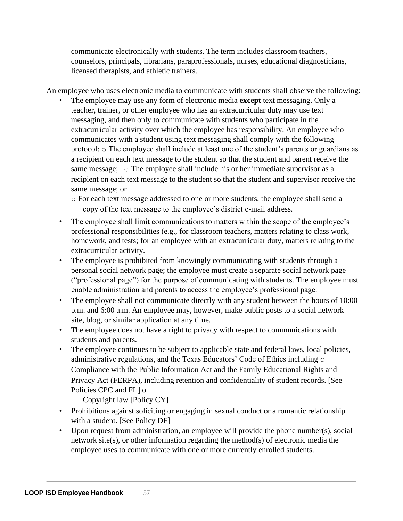communicate electronically with students. The term includes classroom teachers, counselors, principals, librarians, paraprofessionals, nurses, educational diagnosticians, licensed therapists, and athletic trainers.

An employee who uses electronic media to communicate with students shall observe the following:

• The employee may use any form of electronic media **except** text messaging. Only a teacher, trainer, or other employee who has an extracurricular duty may use text messaging, and then only to communicate with students who participate in the extracurricular activity over which the employee has responsibility. An employee who communicates with a student using text messaging shall comply with the following protocol: o The employee shall include at least one of the student's parents or guardians as a recipient on each text message to the student so that the student and parent receive the same message;  $\circ$  The employee shall include his or her immediate supervisor as a recipient on each text message to the student so that the student and supervisor receive the same message; or

o For each text message addressed to one or more students, the employee shall send a copy of the text message to the employee's district e-mail address.

- The employee shall limit communications to matters within the scope of the employee's professional responsibilities (e.g., for classroom teachers, matters relating to class work, homework, and tests; for an employee with an extracurricular duty, matters relating to the extracurricular activity.
- The employee is prohibited from knowingly communicating with students through a personal social network page; the employee must create a separate social network page ("professional page") for the purpose of communicating with students. The employee must enable administration and parents to access the employee's professional page.
- The employee shall not communicate directly with any student between the hours of 10:00 p.m. and 6:00 a.m. An employee may, however, make public posts to a social network site, blog, or similar application at any time.
- The employee does not have a right to privacy with respect to communications with students and parents.
- The employee continues to be subject to applicable state and federal laws, local policies, administrative regulations, and the Texas Educators' Code of Ethics including o Compliance with the Public Information Act and the Family Educational Rights and Privacy Act (FERPA), including retention and confidentiality of student records. [See Policies CPC and FL] o

Copyright law [Policy CY]

- Prohibitions against soliciting or engaging in sexual conduct or a romantic relationship with a student. [See Policy DF]
- Upon request from administration, an employee will provide the phone number(s), social network site(s), or other information regarding the method(s) of electronic media the employee uses to communicate with one or more currently enrolled students.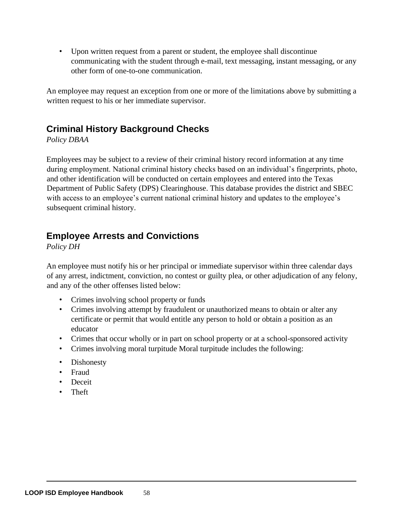• Upon written request from a parent or student, the employee shall discontinue communicating with the student through e-mail, text messaging, instant messaging, or any other form of one-to-one communication.

An employee may request an exception from one or more of the limitations above by submitting a written request to his or her immediate supervisor.

# **Criminal History Background Checks**

*Policy DBAA*

Employees may be subject to a review of their criminal history record information at any time during employment. National criminal history checks based on an individual's fingerprints, photo, and other identification will be conducted on certain employees and entered into the Texas Department of Public Safety (DPS) Clearinghouse. This database provides the district and SBEC with access to an employee's current national criminal history and updates to the employee's subsequent criminal history.

# **Employee Arrests and Convictions**

*Policy DH* 

An employee must notify his or her principal or immediate supervisor within three calendar days of any arrest, indictment, conviction, no contest or guilty plea, or other adjudication of any felony, and any of the other offenses listed below:

- Crimes involving school property or funds
- Crimes involving attempt by fraudulent or unauthorized means to obtain or alter any certificate or permit that would entitle any person to hold or obtain a position as an educator
- Crimes that occur wholly or in part on school property or at a school-sponsored activity
- Crimes involving moral turpitude Moral turpitude includes the following:
- Dishonesty
- Fraud
- Deceit
- Theft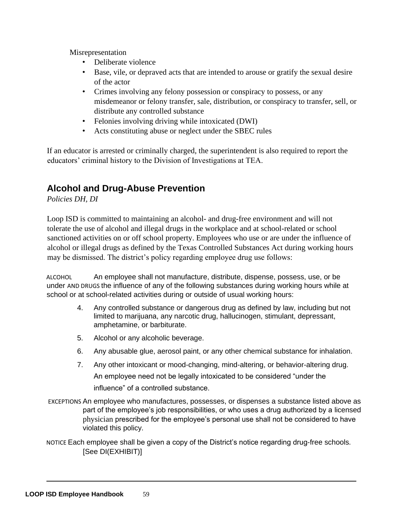Misrepresentation

- Deliberate violence
- Base, vile, or depraved acts that are intended to arouse or gratify the sexual desire of the actor
- Crimes involving any felony possession or conspiracy to possess, or any misdemeanor or felony transfer, sale, distribution, or conspiracy to transfer, sell, or distribute any controlled substance
- Felonies involving driving while intoxicated (DWI)
- Acts constituting abuse or neglect under the SBEC rules

If an educator is arrested or criminally charged, the superintendent is also required to report the educators' criminal history to the Division of Investigations at TEA.

# **Alcohol and Drug-Abuse Prevention**

*Policies DH, DI* 

Loop ISD is committed to maintaining an alcohol- and drug-free environment and will not tolerate the use of alcohol and illegal drugs in the workplace and at school-related or school sanctioned activities on or off school property. Employees who use or are under the influence of alcohol or illegal drugs as defined by the Texas Controlled Substances Act during working hours may be dismissed. The district's policy regarding employee drug use follows:

ALCOHOL An employee shall not manufacture, distribute, dispense, possess, use, or be under AND DRUGS the influence of any of the following substances during working hours while at school or at school-related activities during or outside of usual working hours:

- 4. Any controlled substance or dangerous drug as defined by law, including but not limited to marijuana, any narcotic drug, hallucinogen, stimulant, depressant, amphetamine, or barbiturate.
- 5. Alcohol or any alcoholic beverage.
- 6. Any abusable glue, aerosol paint, or any other chemical substance for inhalation.
- 7. Any other intoxicant or mood-changing, mind-altering, or behavior-altering drug. An employee need not be legally intoxicated to be considered "under the influence" of a controlled substance.
- EXCEPTIONS An employee who manufactures, possesses, or dispenses a substance listed above as part of the employee's job responsibilities, or who uses a drug authorized by a licensed physician prescribed for the employee's personal use shall not be considered to have violated this policy.

NOTICE Each employee shall be given a copy of the District's notice regarding drug-free schools. [See DI(EXHIBIT)]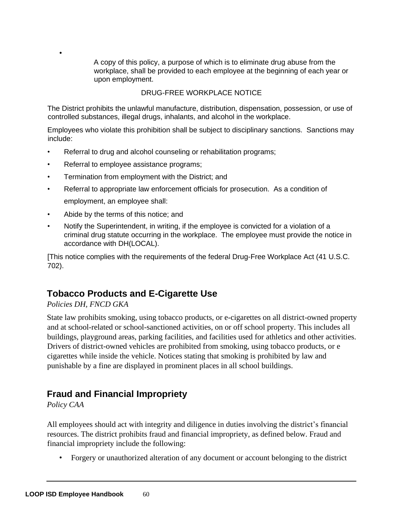A copy of this policy, a purpose of which is to eliminate drug abuse from the workplace, shall be provided to each employee at the beginning of each year or upon employment.

#### DRUG-FREE WORKPLACE NOTICE

The District prohibits the unlawful manufacture, distribution, dispensation, possession, or use of controlled substances, illegal drugs, inhalants, and alcohol in the workplace.

Employees who violate this prohibition shall be subject to disciplinary sanctions. Sanctions may include:

- Referral to drug and alcohol counseling or rehabilitation programs;
- Referral to employee assistance programs;
- Termination from employment with the District; and
- Referral to appropriate law enforcement officials for prosecution. As a condition of employment, an employee shall:
- Abide by the terms of this notice; and
- Notify the Superintendent, in writing, if the employee is convicted for a violation of a criminal drug statute occurring in the workplace. The employee must provide the notice in accordance with DH(LOCAL).

[This notice complies with the requirements of the federal Drug-Free Workplace Act (41 U.S.C. 702).

## **Tobacco Products and E-Cigarette Use**

#### *Policies DH, FNCD GKA*

State law prohibits smoking, using tobacco products, or e-cigarettes on all district-owned property and at school-related or school-sanctioned activities, on or off school property. This includes all buildings, playground areas, parking facilities, and facilities used for athletics and other activities. Drivers of district-owned vehicles are prohibited from smoking, using tobacco products, or e cigarettes while inside the vehicle. Notices stating that smoking is prohibited by law and punishable by a fine are displayed in prominent places in all school buildings.

## **Fraud and Financial Impropriety**

*Policy CAA* 

•

All employees should act with integrity and diligence in duties involving the district's financial resources. The district prohibits fraud and financial impropriety, as defined below. Fraud and financial impropriety include the following:

• Forgery or unauthorized alteration of any document or account belonging to the district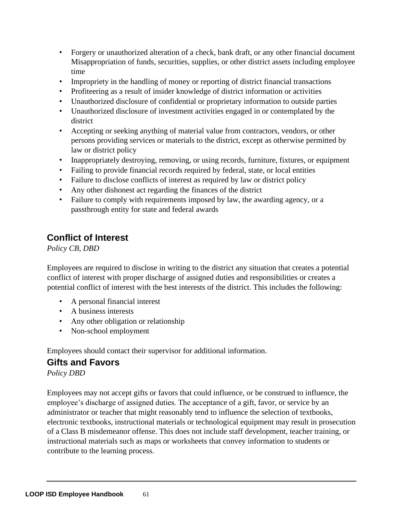- Forgery or unauthorized alteration of a check, bank draft, or any other financial document Misappropriation of funds, securities, supplies, or other district assets including employee time
- Impropriety in the handling of money or reporting of district financial transactions
- Profiteering as a result of insider knowledge of district information or activities
- Unauthorized disclosure of confidential or proprietary information to outside parties
- Unauthorized disclosure of investment activities engaged in or contemplated by the district
- Accepting or seeking anything of material value from contractors, vendors, or other persons providing services or materials to the district, except as otherwise permitted by law or district policy
- Inappropriately destroying, removing, or using records, furniture, fixtures, or equipment
- Failing to provide financial records required by federal, state, or local entities
- Failure to disclose conflicts of interest as required by law or district policy
- Any other dishonest act regarding the finances of the district
- Failure to comply with requirements imposed by law, the awarding agency, or a passthrough entity for state and federal awards

# **Conflict of Interest**

*Policy CB, DBD* 

Employees are required to disclose in writing to the district any situation that creates a potential conflict of interest with proper discharge of assigned duties and responsibilities or creates a potential conflict of interest with the best interests of the district. This includes the following:

- A personal financial interest
- A business interests
- Any other obligation or relationship
- Non-school employment

Employees should contact their supervisor for additional information.

# **Gifts and Favors**

*Policy DBD* 

Employees may not accept gifts or favors that could influence, or be construed to influence, the employee's discharge of assigned duties. The acceptance of a gift, favor, or service by an administrator or teacher that might reasonably tend to influence the selection of textbooks, electronic textbooks, instructional materials or technological equipment may result in prosecution of a Class B misdemeanor offense. This does not include staff development, teacher training, or instructional materials such as maps or worksheets that convey information to students or contribute to the learning process.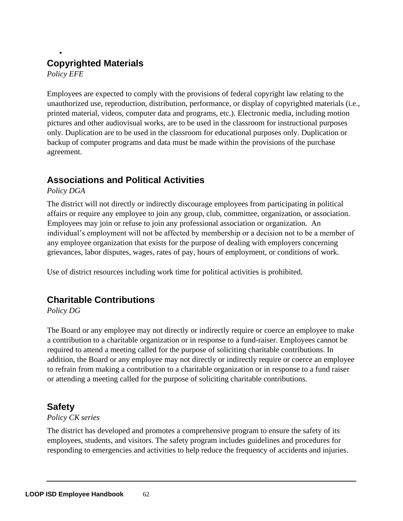#### • **Copyrighted Materials**

*Policy EFE* 

Employees are expected to comply with the provisions of federal copyright law relating to the unauthorized use, reproduction, distribution, performance, or display of copyrighted materials (i.e., printed material, videos, computer data and programs, etc.). Electronic media, including motion pictures and other audiovisual works, are to be used in the classroom for instructional purposes only. Duplication are to be used in the classroom for educational purposes only. Duplication or backup of computer programs and data must be made within the provisions of the purchase agreement.

# **Associations and Political Activities**

*Policy DGA* 

The district will not directly or indirectly discourage employees from participating in political affairs or require any employee to join any group, club, committee, organization, or association. Employees may join or refuse to join any professional association or organization. An individual's employment will not be affected by membership or a decision not to be a member of any employee organization that exists for the purpose of dealing with employers concerning grievances, labor disputes, wages, rates of pay, hours of employment, or conditions of work.

Use of district resources including work time for political activities is prohibited.

# **Charitable Contributions**

*Policy DG* 

The Board or any employee may not directly or indirectly require or coerce an employee to make a contribution to a charitable organization or in response to a fund-raiser. Employees cannot be required to attend a meeting called for the purpose of soliciting charitable contributions. In addition, the Board or any employee may not directly or indirectly require or coerce an employee to refrain from making a contribution to a charitable organization or in response to a fund raiser or attending a meeting called for the purpose of soliciting charitable contributions.

# **Safety**

#### *Policy CK series*

The district has developed and promotes a comprehensive program to ensure the safety of its employees, students, and visitors. The safety program includes guidelines and procedures for responding to emergencies and activities to help reduce the frequency of accidents and injuries.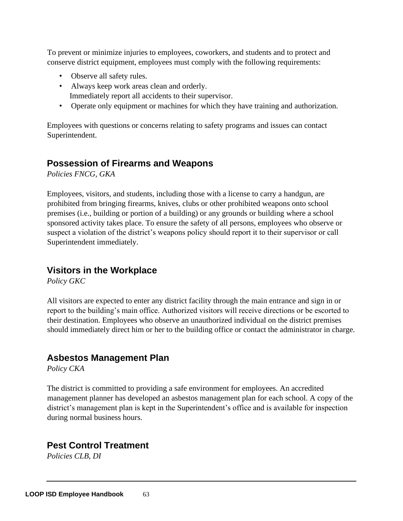To prevent or minimize injuries to employees, coworkers, and students and to protect and conserve district equipment, employees must comply with the following requirements:

- Observe all safety rules.
- Always keep work areas clean and orderly. Immediately report all accidents to their supervisor.
- Operate only equipment or machines for which they have training and authorization.

Employees with questions or concerns relating to safety programs and issues can contact Superintendent.

## **Possession of Firearms and Weapons**

*Policies FNCG, GKA* 

Employees, visitors, and students, including those with a license to carry a handgun, are prohibited from bringing firearms, knives, clubs or other prohibited weapons onto school premises (i.e., building or portion of a building) or any grounds or building where a school sponsored activity takes place. To ensure the safety of all persons, employees who observe or suspect a violation of the district's weapons policy should report it to their supervisor or call Superintendent immediately.

# **Visitors in the Workplace**

*Policy GKC* 

All visitors are expected to enter any district facility through the main entrance and sign in or report to the building's main office. Authorized visitors will receive directions or be escorted to their destination. Employees who observe an unauthorized individual on the district premises should immediately direct him or her to the building office or contact the administrator in charge.

## **Asbestos Management Plan**

*Policy CKA* 

The district is committed to providing a safe environment for employees. An accredited management planner has developed an asbestos management plan for each school. A copy of the district's management plan is kept in the Superintendent's office and is available for inspection during normal business hours.

# **Pest Control Treatment**

*Policies CLB, DI*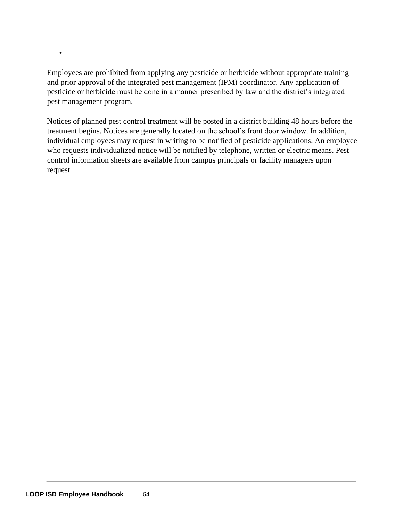Employees are prohibited from applying any pesticide or herbicide without appropriate training and prior approval of the integrated pest management (IPM) coordinator. Any application of pesticide or herbicide must be done in a manner prescribed by law and the district's integrated pest management program.

Notices of planned pest control treatment will be posted in a district building 48 hours before the treatment begins. Notices are generally located on the school's front door window. In addition, individual employees may request in writing to be notified of pesticide applications. An employee who requests individualized notice will be notified by telephone, written or electric means. Pest control information sheets are available from campus principals or facility managers upon request.

•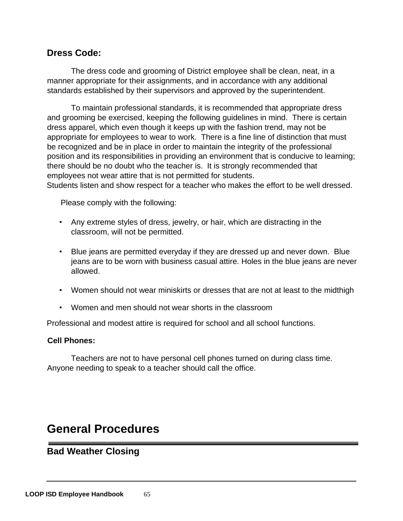#### **Dress Code:**

The dress code and grooming of District employee shall be clean, neat, in a manner appropriate for their assignments, and in accordance with any additional standards established by their supervisors and approved by the superintendent.

 To maintain professional standards, it is recommended that appropriate dress and grooming be exercised, keeping the following guidelines in mind. There is certain dress apparel, which even though it keeps up with the fashion trend, may not be appropriate for employees to wear to work. There is a fine line of distinction that must be recognized and be in place in order to maintain the integrity of the professional position and its responsibilities in providing an environment that is conducive to learning; there should be no doubt who the teacher is. It is strongly recommended that employees not wear attire that is not permitted for students.

Students listen and show respect for a teacher who makes the effort to be well dressed.

Please comply with the following:

- Any extreme styles of dress, jewelry, or hair, which are distracting in the classroom, will not be permitted.
- Blue jeans are permitted everyday if they are dressed up and never down. Blue jeans are to be worn with business casual attire. Holes in the blue jeans are never allowed.
- Women should not wear miniskirts or dresses that are not at least to the midthigh
- Women and men should not wear shorts in the classroom

Professional and modest attire is required for school and all school functions.

#### **Cell Phones:**

Teachers are not to have personal cell phones turned on during class time. Anyone needing to speak to a teacher should call the office.

# **General Procedures**

#### **Bad Weather Closing**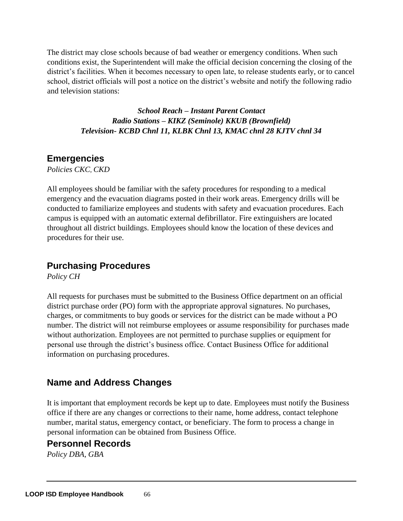The district may close schools because of bad weather or emergency conditions. When such conditions exist, the Superintendent will make the official decision concerning the closing of the district's facilities. When it becomes necessary to open late, to release students early, or to cancel school, district officials will post a notice on the district's website and notify the following radio and television stations:

> *School Reach – Instant Parent Contact Radio Stations – KIKZ (Seminole) KKUB (Brownfield) Television- KCBD Chnl 11, KLBK Chnl 13, KMAC chnl 28 KJTV chnl 34*

## **Emergencies**

*Policies CKC*, *CKD* 

All employees should be familiar with the safety procedures for responding to a medical emergency and the evacuation diagrams posted in their work areas. Emergency drills will be conducted to familiarize employees and students with safety and evacuation procedures. Each campus is equipped with an automatic external defibrillator. Fire extinguishers are located throughout all district buildings. Employees should know the location of these devices and procedures for their use.

#### **Purchasing Procedures**

*Policy CH* 

All requests for purchases must be submitted to the Business Office department on an official district purchase order (PO) form with the appropriate approval signatures. No purchases, charges, or commitments to buy goods or services for the district can be made without a PO number. The district will not reimburse employees or assume responsibility for purchases made without authorization. Employees are not permitted to purchase supplies or equipment for personal use through the district's business office. Contact Business Office for additional information on purchasing procedures.

## **Name and Address Changes**

It is important that employment records be kept up to date. Employees must notify the Business office if there are any changes or corrections to their name, home address, contact telephone number, marital status, emergency contact, or beneficiary. The form to process a change in personal information can be obtained from Business Office.

# **Personnel Records**

*Policy DBA, GBA*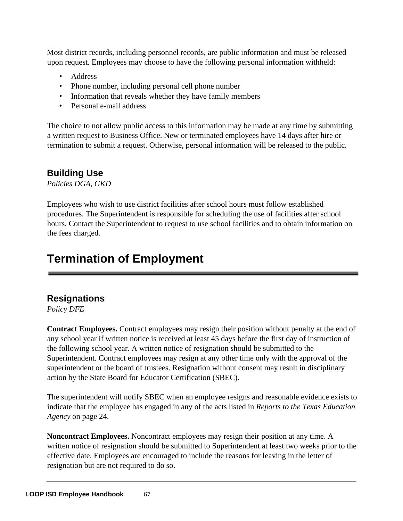Most district records, including personnel records, are public information and must be released upon request. Employees may choose to have the following personal information withheld:

- Address
- Phone number, including personal cell phone number
- Information that reveals whether they have family members
- Personal e-mail address

The choice to not allow public access to this information may be made at any time by submitting a written request to Business Office. New or terminated employees have 14 days after hire or termination to submit a request. Otherwise, personal information will be released to the public.

# **Building Use**

*Policies DGA, GKD* 

Employees who wish to use district facilities after school hours must follow established procedures. The Superintendent is responsible for scheduling the use of facilities after school hours. Contact the Superintendent to request to use school facilities and to obtain information on the fees charged.

# **Termination of Employment**

# **Resignations**

*Policy DFE* 

**Contract Employees.** Contract employees may resign their position without penalty at the end of any school year if written notice is received at least 45 days before the first day of instruction of the following school year. A written notice of resignation should be submitted to the Superintendent. Contract employees may resign at any other time only with the approval of the superintendent or the board of trustees. Resignation without consent may result in disciplinary action by the State Board for Educator Certification (SBEC).

The superintendent will notify SBEC when an employee resigns and reasonable evidence exists to indicate that the employee has engaged in any of the acts listed in *Reports to the Texas Education Agency* on page 24.

**Noncontract Employees.** Noncontract employees may resign their position at any time. A written notice of resignation should be submitted to Superintendent at least two weeks prior to the effective date. Employees are encouraged to include the reasons for leaving in the letter of resignation but are not required to do so.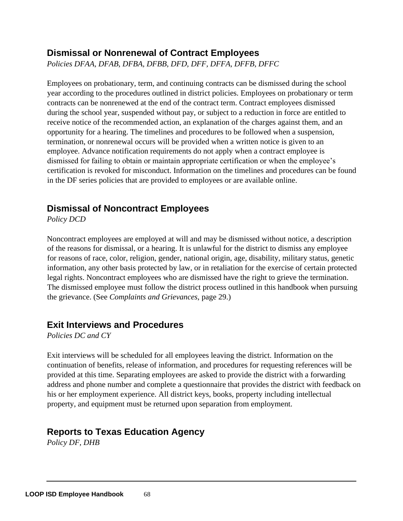## **Dismissal or Nonrenewal of Contract Employees**

*Policies DFAA, DFAB, DFBA, DFBB, DFD, DFF, DFFA, DFFB, DFFC* 

Employees on probationary, term, and continuing contracts can be dismissed during the school year according to the procedures outlined in district policies. Employees on probationary or term contracts can be nonrenewed at the end of the contract term. Contract employees dismissed during the school year, suspended without pay, or subject to a reduction in force are entitled to receive notice of the recommended action, an explanation of the charges against them, and an opportunity for a hearing. The timelines and procedures to be followed when a suspension, termination, or nonrenewal occurs will be provided when a written notice is given to an employee. Advance notification requirements do not apply when a contract employee is dismissed for failing to obtain or maintain appropriate certification or when the employee's certification is revoked for misconduct. Information on the timelines and procedures can be found in the DF series policies that are provided to employees or are available online.

# **Dismissal of Noncontract Employees**

*Policy DCD* 

Noncontract employees are employed at will and may be dismissed without notice, a description of the reasons for dismissal, or a hearing. It is unlawful for the district to dismiss any employee for reasons of race, color, religion, gender, national origin, age, disability, military status, genetic information, any other basis protected by law, or in retaliation for the exercise of certain protected legal rights. Noncontract employees who are dismissed have the right to grieve the termination. The dismissed employee must follow the district process outlined in this handbook when pursuing the grievance. (See *Complaints and Grievances*, page 29.)

## **Exit Interviews and Procedures**

*Policies DC and CY* 

Exit interviews will be scheduled for all employees leaving the district. Information on the continuation of benefits, release of information, and procedures for requesting references will be provided at this time. Separating employees are asked to provide the district with a forwarding address and phone number and complete a questionnaire that provides the district with feedback on his or her employment experience. All district keys, books, property including intellectual property, and equipment must be returned upon separation from employment.

# **Reports to Texas Education Agency**

*Policy DF, DHB*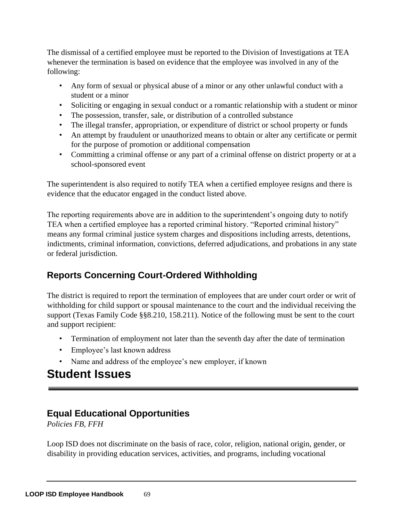The dismissal of a certified employee must be reported to the Division of Investigations at TEA whenever the termination is based on evidence that the employee was involved in any of the following:

- Any form of sexual or physical abuse of a minor or any other unlawful conduct with a student or a minor
- Soliciting or engaging in sexual conduct or a romantic relationship with a student or minor
- The possession, transfer, sale, or distribution of a controlled substance
- The illegal transfer, appropriation, or expenditure of district or school property or funds
- An attempt by fraudulent or unauthorized means to obtain or alter any certificate or permit for the purpose of promotion or additional compensation
- Committing a criminal offense or any part of a criminal offense on district property or at a school-sponsored event

The superintendent is also required to notify TEA when a certified employee resigns and there is evidence that the educator engaged in the conduct listed above.

The reporting requirements above are in addition to the superintendent's ongoing duty to notify TEA when a certified employee has a reported criminal history. "Reported criminal history" means any formal criminal justice system charges and dispositions including arrests, detentions, indictments, criminal information, convictions, deferred adjudications, and probations in any state or federal jurisdiction.

# **Reports Concerning Court-Ordered Withholding**

The district is required to report the termination of employees that are under court order or writ of withholding for child support or spousal maintenance to the court and the individual receiving the support (Texas Family Code §§8.210, 158.211). Notice of the following must be sent to the court and support recipient:

- Termination of employment not later than the seventh day after the date of termination
- Employee's last known address
- Name and address of the employee's new employer, if known

# **Student Issues**

# **Equal Educational Opportunities**

*Policies FB, FFH* 

Loop ISD does not discriminate on the basis of race, color, religion, national origin, gender, or disability in providing education services, activities, and programs, including vocational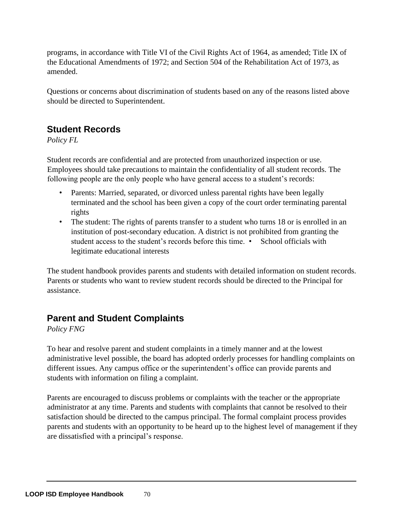programs, in accordance with Title VI of the Civil Rights Act of 1964, as amended; Title IX of the Educational Amendments of 1972; and Section 504 of the Rehabilitation Act of 1973, as amended.

Questions or concerns about discrimination of students based on any of the reasons listed above should be directed to Superintendent.

#### **Student Records**

*Policy FL* 

Student records are confidential and are protected from unauthorized inspection or use. Employees should take precautions to maintain the confidentiality of all student records. The following people are the only people who have general access to a student's records:

- Parents: Married, separated, or divorced unless parental rights have been legally terminated and the school has been given a copy of the court order terminating parental rights
- The student: The rights of parents transfer to a student who turns 18 or is enrolled in an institution of post-secondary education. A district is not prohibited from granting the student access to the student's records before this time. • School officials with legitimate educational interests

The student handbook provides parents and students with detailed information on student records. Parents or students who want to review student records should be directed to the Principal for assistance.

# **Parent and Student Complaints**

*Policy FNG* 

To hear and resolve parent and student complaints in a timely manner and at the lowest administrative level possible, the board has adopted orderly processes for handling complaints on different issues. Any campus office or the superintendent's office can provide parents and students with information on filing a complaint.

Parents are encouraged to discuss problems or complaints with the teacher or the appropriate administrator at any time. Parents and students with complaints that cannot be resolved to their satisfaction should be directed to the campus principal. The formal complaint process provides parents and students with an opportunity to be heard up to the highest level of management if they are dissatisfied with a principal's response.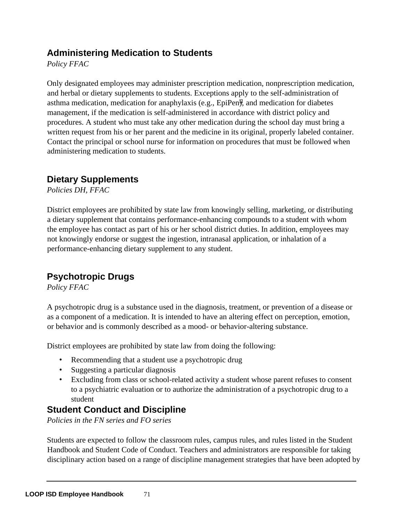# **Administering Medication to Students**

*Policy FFAC* 

Only designated employees may administer prescription medication, nonprescription medication, and herbal or dietary supplements to students. Exceptions apply to the self-administration of asthma medication, medication for anaphylaxis (e.g., EpiPen<sup> $\P$ </sup>, and medication for diabetes management, if the medication is self-administered in accordance with district policy and procedures. A student who must take any other medication during the school day must bring a written request from his or her parent and the medicine in its original, properly labeled container. Contact the principal or school nurse for information on procedures that must be followed when administering medication to students.

# **Dietary Supplements**

*Policies DH, FFAC* 

District employees are prohibited by state law from knowingly selling, marketing, or distributing a dietary supplement that contains performance-enhancing compounds to a student with whom the employee has contact as part of his or her school district duties. In addition, employees may not knowingly endorse or suggest the ingestion, intranasal application, or inhalation of a performance-enhancing dietary supplement to any student.

# **Psychotropic Drugs**

*Policy FFAC* 

A psychotropic drug is a substance used in the diagnosis, treatment, or prevention of a disease or as a component of a medication. It is intended to have an altering effect on perception, emotion, or behavior and is commonly described as a mood- or behavior-altering substance.

District employees are prohibited by state law from doing the following:

- Recommending that a student use a psychotropic drug
- Suggesting a particular diagnosis
- Excluding from class or school-related activity a student whose parent refuses to consent to a psychiatric evaluation or to authorize the administration of a psychotropic drug to a student

# **Student Conduct and Discipline**

*Policies in the FN series and FO series* 

Students are expected to follow the classroom rules, campus rules, and rules listed in the Student Handbook and Student Code of Conduct. Teachers and administrators are responsible for taking disciplinary action based on a range of discipline management strategies that have been adopted by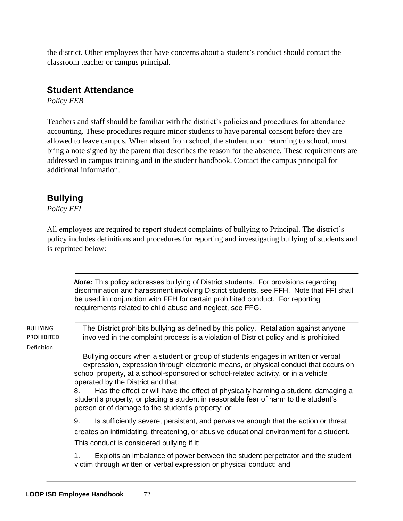the district. Other employees that have concerns about a student's conduct should contact the classroom teacher or campus principal.

## **Student Attendance**

*Policy FEB* 

Teachers and staff should be familiar with the district's policies and procedures for attendance accounting. These procedures require minor students to have parental consent before they are allowed to leave campus. When absent from school, the student upon returning to school, must bring a note signed by the parent that describes the reason for the absence. These requirements are addressed in campus training and in the student handbook. Contact the campus principal for additional information.

# **Bullying**

*Policy FFI*

All employees are required to report student complaints of bullying to Principal. The district's policy includes definitions and procedures for reporting and investigating bullying of students and is reprinted below:

*Note:* This policy addresses bullying of District students. For provisions regarding discrimination and harassment involving District students, see FFH. Note that FFI shall be used in conjunction with FFH for certain prohibited conduct. For reporting requirements related to child abuse and neglect, see FFG.

BULLYING PROHIBITED The District prohibits bullying as defined by this policy. Retaliation against anyone involved in the complaint process is a violation of District policy and is prohibited.

Definition

Bullying occurs when a student or group of students engages in written or verbal expression, expression through electronic means, or physical conduct that occurs on school property, at a school-sponsored or school-related activity, or in a vehicle operated by the District and that:

8. Has the effect or will have the effect of physically harming a student, damaging a student's property, or placing a student in reasonable fear of harm to the student's person or of damage to the student's property; or

9. Is sufficiently severe, persistent, and pervasive enough that the action or threat creates an intimidating, threatening, or abusive educational environment for a student. This conduct is considered bullying if it:

1. Exploits an imbalance of power between the student perpetrator and the student victim through written or verbal expression or physical conduct; and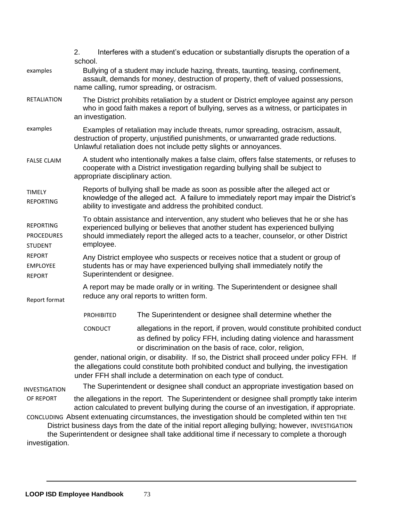|                                                         | Interferes with a student's education or substantially disrupts the operation of a<br>2.<br>school.                                                                                                                                                                                                                                                                                                                                                                                                     |
|---------------------------------------------------------|---------------------------------------------------------------------------------------------------------------------------------------------------------------------------------------------------------------------------------------------------------------------------------------------------------------------------------------------------------------------------------------------------------------------------------------------------------------------------------------------------------|
| examples                                                | Bullying of a student may include hazing, threats, taunting, teasing, confinement,<br>assault, demands for money, destruction of property, theft of valued possessions,<br>name calling, rumor spreading, or ostracism.                                                                                                                                                                                                                                                                                 |
| <b>RETALIATION</b>                                      | The District prohibits retaliation by a student or District employee against any person<br>who in good faith makes a report of bullying, serves as a witness, or participates in<br>an investigation.                                                                                                                                                                                                                                                                                                   |
| examples                                                | Examples of retaliation may include threats, rumor spreading, ostracism, assault,<br>destruction of property, unjustified punishments, or unwarranted grade reductions.<br>Unlawful retaliation does not include petty slights or annoyances.                                                                                                                                                                                                                                                           |
| <b>FALSE CLAIM</b>                                      | A student who intentionally makes a false claim, offers false statements, or refuses to<br>cooperate with a District investigation regarding bullying shall be subject to<br>appropriate disciplinary action.                                                                                                                                                                                                                                                                                           |
| <b>TIMELY</b><br><b>REPORTING</b>                       | Reports of bullying shall be made as soon as possible after the alleged act or<br>knowledge of the alleged act. A failure to immediately report may impair the District's<br>ability to investigate and address the prohibited conduct.                                                                                                                                                                                                                                                                 |
| <b>REPORTING</b><br><b>PROCEDURES</b><br><b>STUDENT</b> | To obtain assistance and intervention, any student who believes that he or she has<br>experienced bullying or believes that another student has experienced bullying<br>should immediately report the alleged acts to a teacher, counselor, or other District<br>employee.                                                                                                                                                                                                                              |
| <b>REPORT</b><br><b>EMPLOYEE</b><br><b>REPORT</b>       | Any District employee who suspects or receives notice that a student or group of<br>students has or may have experienced bullying shall immediately notify the<br>Superintendent or designee.                                                                                                                                                                                                                                                                                                           |
| Report format                                           | A report may be made orally or in writing. The Superintendent or designee shall<br>reduce any oral reports to written form.                                                                                                                                                                                                                                                                                                                                                                             |
|                                                         | The Superintendent or designee shall determine whether the<br><b>PROHIBITED</b>                                                                                                                                                                                                                                                                                                                                                                                                                         |
|                                                         | allegations in the report, if proven, would constitute prohibited conduct<br>CONDUCT<br>as defined by policy FFH, including dating violence and harassment<br>or discrimination on the basis of race, color, religion,                                                                                                                                                                                                                                                                                  |
|                                                         | gender, national origin, or disability. If so, the District shall proceed under policy FFH. If<br>the allegations could constitute both prohibited conduct and bullying, the investigation<br>under FFH shall include a determination on each type of conduct.                                                                                                                                                                                                                                          |
| INVESTIGATION                                           | The Superintendent or designee shall conduct an appropriate investigation based on                                                                                                                                                                                                                                                                                                                                                                                                                      |
| OF REPORT<br>investigation.                             | the allegations in the report. The Superintendent or designee shall promptly take interim<br>action calculated to prevent bullying during the course of an investigation, if appropriate.<br>CONCLUDING Absent extenuating circumstances, the investigation should be completed within ten THE<br>District business days from the date of the initial report alleging bullying; however, INVESTIGATION<br>the Superintendent or designee shall take additional time if necessary to complete a thorough |
|                                                         |                                                                                                                                                                                                                                                                                                                                                                                                                                                                                                         |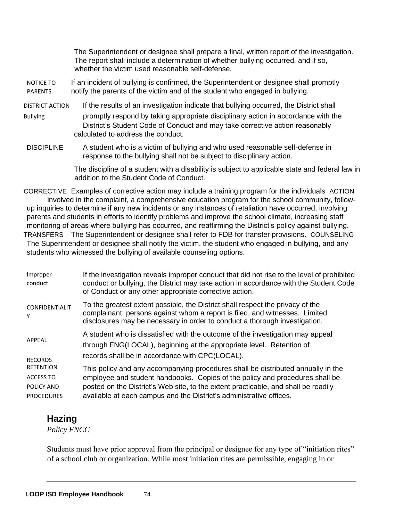The Superintendent or designee shall prepare a final, written report of the investigation. The report shall include a determination of whether bullying occurred, and if so, whether the victim used reasonable self-defense.

- NOTICE TO If an incident of bullying is confirmed, the Superintendent or designee shall promptly PARENTS notify the parents of the victim and of the student who engaged in bullying.
- DISTRICT ACTION If the results of an investigation indicate that bullying occurred, the District shall Bullying promptly respond by taking appropriate disciplinary action in accordance with the District's Student Code of Conduct and may take corrective action reasonably calculated to address the conduct.
- DISCIPLINE A student who is a victim of bullying and who used reasonable self-defense in response to the bullying shall not be subject to disciplinary action.

The discipline of a student with a disability is subject to applicable state and federal law in addition to the Student Code of Conduct.

CORRECTIVE Examples of corrective action may include a training program for the individuals ACTION involved in the complaint, a comprehensive education program for the school community, followup inquiries to determine if any new incidents or any instances of retaliation have occurred, involving parents and students in efforts to identify problems and improve the school climate, increasing staff monitoring of areas where bullying has occurred, and reaffirming the District's policy against bullying. TRANSFERS The Superintendent or designee shall refer to FDB for transfer provisions. COUNSELING The Superintendent or designee shall notify the victim, the student who engaged in bullying, and any students who witnessed the bullying of available counseling options.

| Improper<br>conduct        | If the investigation reveals improper conduct that did not rise to the level of prohibited<br>conduct or bullying, the District may take action in accordance with the Student Code<br>of Conduct or any other appropriate corrective action. |
|----------------------------|-----------------------------------------------------------------------------------------------------------------------------------------------------------------------------------------------------------------------------------------------|
| <b>CONFIDENTIALIT</b><br>Y | To the greatest extent possible, the District shall respect the privacy of the<br>complainant, persons against whom a report is filed, and witnesses. Limited<br>disclosures may be necessary in order to conduct a thorough investigation.   |
| APPEAL                     | A student who is dissatisfied with the outcome of the investigation may appeal<br>through FNG(LOCAL), beginning at the appropriate level. Retention of                                                                                        |
| <b>RECORDS</b>             | records shall be in accordance with CPC(LOCAL).                                                                                                                                                                                               |
| <b>RETENTION</b>           | This policy and any accompanying procedures shall be distributed annually in the                                                                                                                                                              |
| <b>ACCESS TO</b>           | employee and student handbooks. Copies of the policy and procedures shall be                                                                                                                                                                  |
| POLICY AND                 | posted on the District's Web site, to the extent practicable, and shall be readily                                                                                                                                                            |
| <b>PROCEDURES</b>          | available at each campus and the District's administrative offices.                                                                                                                                                                           |

## **Hazing**

*Policy FNCC* 

Students must have prior approval from the principal or designee for any type of "initiation rites" of a school club or organization. While most initiation rites are permissible, engaging in or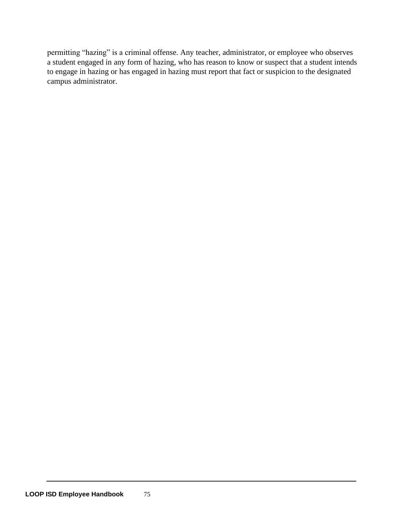permitting "hazing" is a criminal offense. Any teacher, administrator, or employee who observes a student engaged in any form of hazing, who has reason to know or suspect that a student intends to engage in hazing or has engaged in hazing must report that fact or suspicion to the designated campus administrator.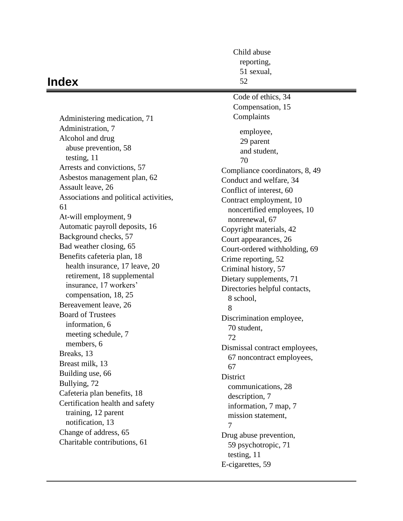## **Index**

Child abuse reporting, 51 sexual, 52

Administering medication, 71 Administration, 7 Alcohol and drug abuse prevention, 58 testing, 11 Arrests and convictions, 57 Asbestos management plan, 62 Assault leave, 26 Associations and political activities, 61 At-will employment, 9 Automatic payroll deposits, 16 Background checks, 57 Bad weather closing, 65 Benefits cafeteria plan, 18 health insurance, 17 leave, 20 retirement, 18 supplemental insurance, 17 workers' compensation, 18, 25 Bereavement leave, 26 Board of Trustees information, 6 meeting schedule, 7 members, 6 Breaks, 13 Breast milk, 13 Building use, 66 Bullying, 72 Cafeteria plan benefits, 18 Certification health and safety training, 12 parent notification, 13 Change of address, 65 Charitable contributions, 61

Code of ethics, 34 Compensation, 15 Complaints employee, 29 parent and student, 70 Compliance coordinators, 8, 49 Conduct and welfare, 34 Conflict of interest, 60 Contract employment, 10 noncertified employees, 10 nonrenewal, 67 Copyright materials, 42 Court appearances, 26 Court-ordered withholding, 69 Crime reporting, 52 Criminal history, 57 Dietary supplements, 71 Directories helpful contacts, 8 school, 8 Discrimination employee, 70 student, 72 Dismissal contract employees, 67 noncontract employees, 67 District communications, 28 description, 7 information, 7 map, 7 mission statement, 7 Drug abuse prevention, 59 psychotropic, 71 testing, 11 E-cigarettes, 59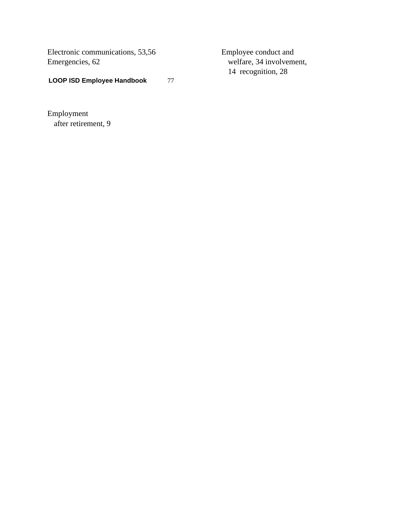Electronic communications, 53,56 Emergencies, 62

## **LOOP ISD Employee Handbook** 77

Employment after retirement, 9 Employee conduct and welfare, 34 involvement, 14 recognition, 28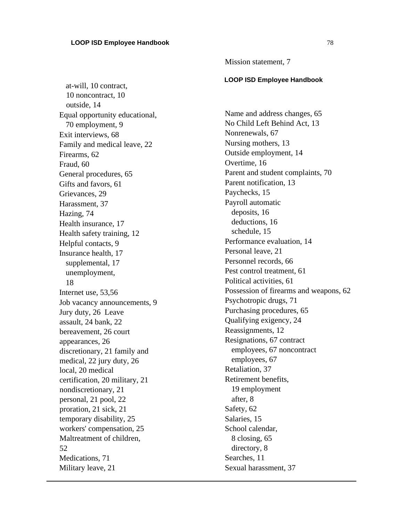at-will, 10 contract, 10 noncontract, 10 outside, 14 Equal opportunity educational, 70 employment, 9 Exit interviews, 68 Family and medical leave, 22 Firearms, 62 Fraud, 60 General procedures, 65 Gifts and favors, 61 Grievances, 29 Harassment, 37 Hazing, 74 Health insurance, 17 Health safety training, 12 Helpful contacts, 9 Insurance health, 17 supplemental, 17 unemployment, 18 Internet use, 53,56 Job vacancy announcements, 9 Jury duty, 26 Leave assault, 24 bank, 22 bereavement, 26 court appearances, 26 discretionary, 21 family and medical, 22 jury duty, 26 local, 20 medical certification, 20 military, 21 nondiscretionary, 21 personal, 21 pool, 22 proration, 21 sick, 21 temporary disability, 25 workers' compensation, 25 Maltreatment of children, 52 Medications, 71 Military leave, 21

Mission statement, 7

## **LOOP ISD Employee Handbook**

Name and address changes, 65 No Child Left Behind Act, 13 Nonrenewals, 67 Nursing mothers, 13 Outside employment, 14 Overtime, 16 Parent and student complaints, 70 Parent notification, 13 Paychecks, 15 Payroll automatic deposits, 16 deductions, 16 schedule, 15 Performance evaluation, 14 Personal leave, 21 Personnel records, 66 Pest control treatment, 61 Political activities, 61 Possession of firearms and weapons, 62 Psychotropic drugs, 71 Purchasing procedures, 65 Qualifying exigency, 24 Reassignments, 12 Resignations, 67 contract employees, 67 noncontract employees, 67 Retaliation, 37 Retirement benefits, 19 employment after, 8 Safety, 62 Salaries, 15 School calendar, 8 closing, 65 directory, 8 Searches, 11 Sexual harassment, 37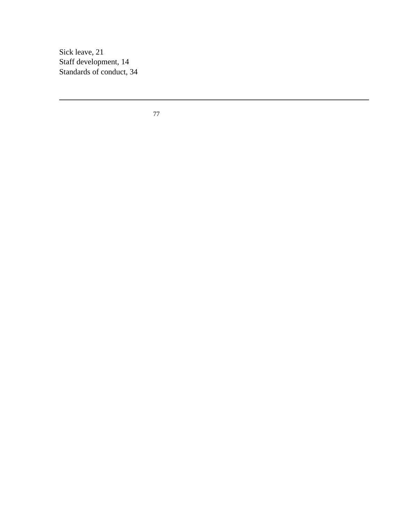Sick leave, 21 Staff development, 14 Standards of conduct, 34

77